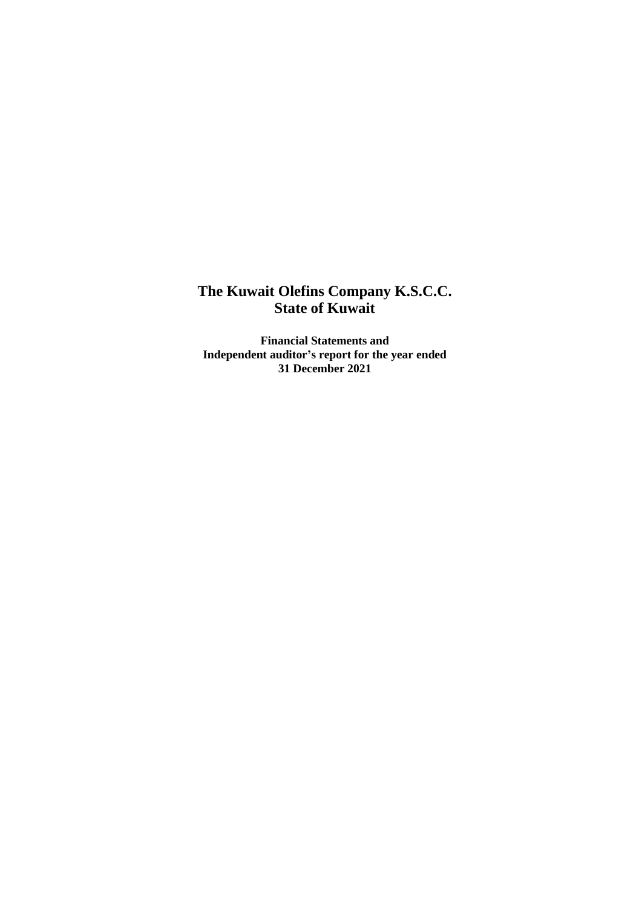**Financial Statements and Independent auditor's report for the year ended 31 December 2021**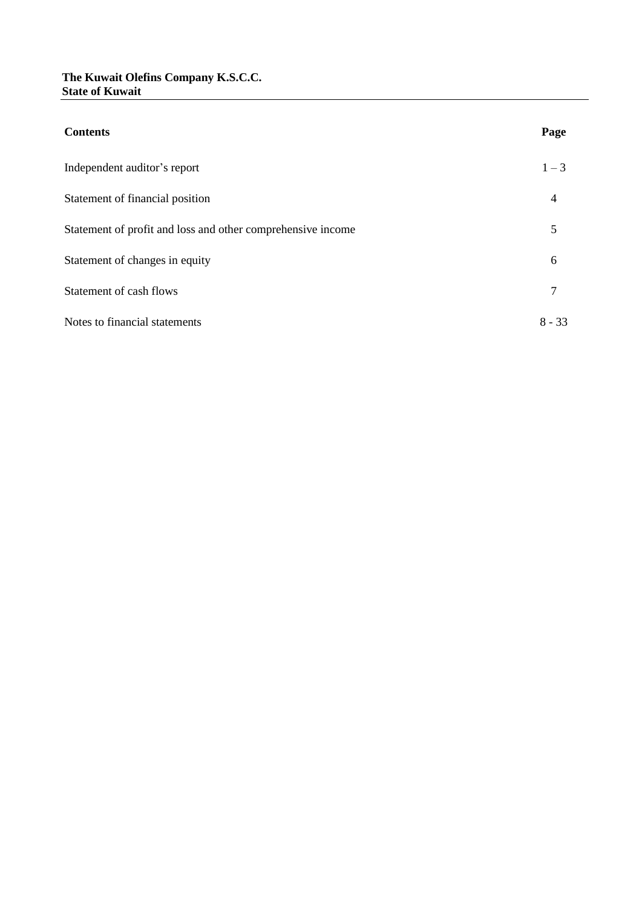| <b>Contents</b>                                             | Page     |
|-------------------------------------------------------------|----------|
| Independent auditor's report                                | $1 - 3$  |
| Statement of financial position                             | 4        |
| Statement of profit and loss and other comprehensive income | 5        |
| Statement of changes in equity                              | 6        |
| Statement of cash flows                                     |          |
| Notes to financial statements                               | $8 - 33$ |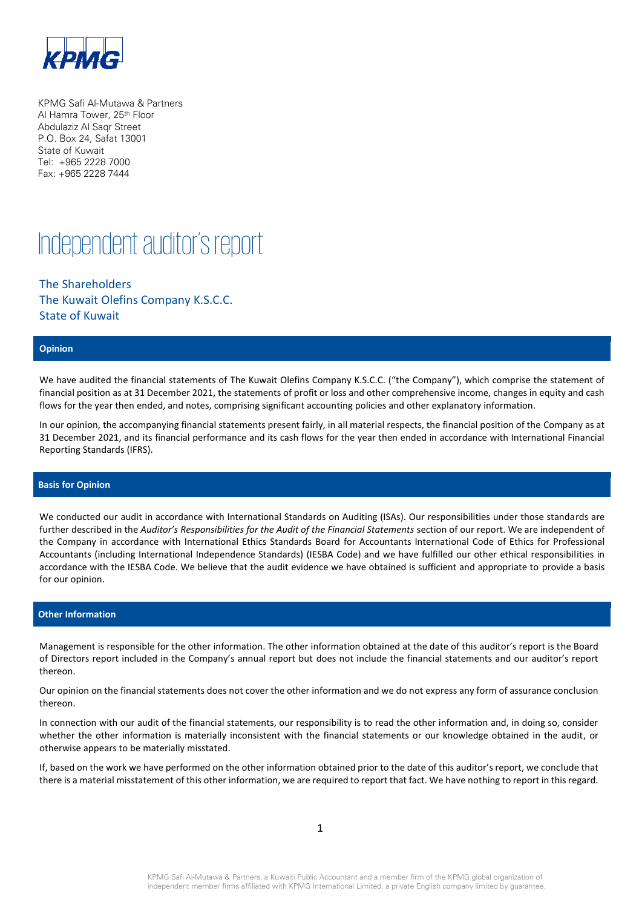

KPMG Safi Al-Mutawa & Partners Al Hamra Tower, 25th Floor Abdulaziz Al Saqr Street P.O. Box 24, Safat 13001 State of Kuwait Tel: +965 2228 7000 Fax: +965 2228 7444

# Independent auditor's report

The Shareholders The Kuwait Olefins Company K.S.C.C. State of Kuwait

#### **Opinion**

We have audited the financial statements of The Kuwait Olefins Company K.S.C.C. ("the Company"), which comprise the statement of financial position as at 31 December 2021, the statements of profit or loss and other comprehensive income, changes in equity and cash flows for the year then ended, and notes, comprising significant accounting policies and other explanatory information.

In our opinion, the accompanying financial statements present fairly, in all material respects, the financial position of the Company as at 31 December 2021, and its financial performance and its cash flows for the year then ended in accordance with International Financial Reporting Standards (IFRS).

#### **Basis for Opinion**

We conducted our audit in accordance with International Standards on Auditing (ISAs). Our responsibilities under those standards are further described in the *Auditor's Responsibilities for the Audit of the Financial Statements* section of our report. We are independent of the Company in accordance with International Ethics Standards Board for Accountants International Code of Ethics for Professional Accountants (including International Independence Standards) (IESBA Code) and we have fulfilled our other ethical responsibilities in accordance with the IESBA Code. We believe that the audit evidence we have obtained is sufficient and appropriate to provide a basis for our opinion.

#### **Other Information**

Management is responsible for the other information. The other information obtained at the date of this auditor's report is the Board of Directors report included in the Company's annual report but does not include the financial statements and our auditor's report thereon.

Our opinion on the financial statements does not cover the other information and we do not express any form of assurance conclusion thereon.

In connection with our audit of the financial statements, our responsibility is to read the other information and, in doing so, consider whether the other information is materially inconsistent with the financial statements or our knowledge obtained in the audit, or otherwise appears to be materially misstated.

If, based on the work we have performed on the other information obtained prior to the date of this auditor's report, we conclude that there is a material misstatement of this other information, we are required to report that fact. We have nothing to report in this regard.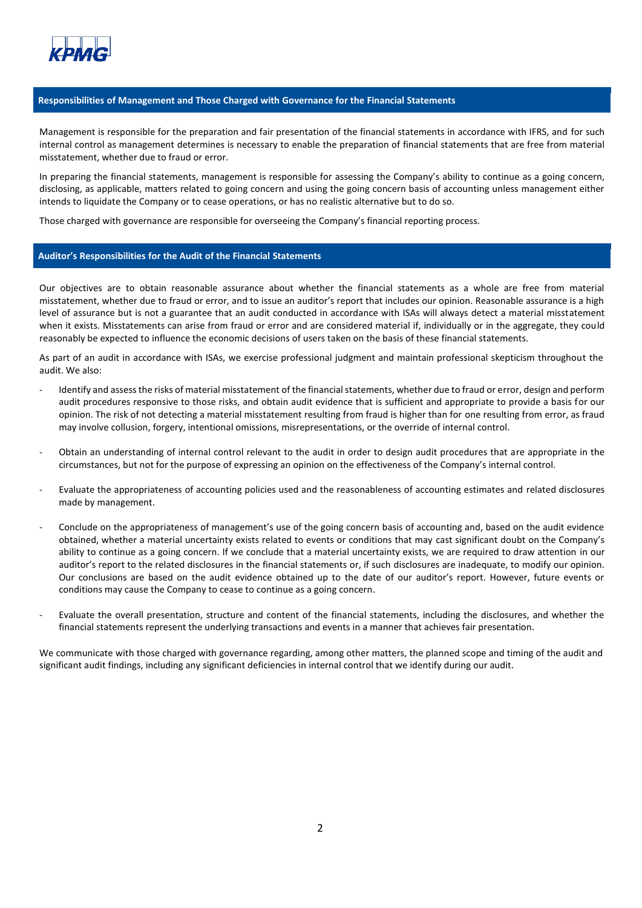

#### **Responsibilities of Management and Those Charged with Governance for the Financial Statements**

Management is responsible for the preparation and fair presentation of the financial statements in accordance with IFRS, and for such internal control as management determines is necessary to enable the preparation of financial statements that are free from material misstatement, whether due to fraud or error.

In preparing the financial statements, management is responsible for assessing the Company's ability to continue as a going concern, disclosing, as applicable, matters related to going concern and using the going concern basis of accounting unless management either intends to liquidate the Company or to cease operations, or has no realistic alternative but to do so.

Those charged with governance are responsible for overseeing the Company's financial reporting process.

#### **Auditor's Responsibilities for the Audit of the Financial Statements**

Our objectives are to obtain reasonable assurance about whether the financial statements as a whole are free from material misstatement, whether due to fraud or error, and to issue an auditor's report that includes our opinion. Reasonable assurance is a high level of assurance but is not a guarantee that an audit conducted in accordance with ISAs will always detect a material misstatement when it exists. Misstatements can arise from fraud or error and are considered material if, individually or in the aggregate, they could reasonably be expected to influence the economic decisions of users taken on the basis of these financial statements.

As part of an audit in accordance with ISAs, we exercise professional judgment and maintain professional skepticism throughout the audit. We also:

- Identify and assess the risks of material misstatement of the financial statements, whether due to fraud or error, design and perform audit procedures responsive to those risks, and obtain audit evidence that is sufficient and appropriate to provide a basis for our opinion. The risk of not detecting a material misstatement resulting from fraud is higher than for one resulting from error, as fraud may involve collusion, forgery, intentional omissions, misrepresentations, or the override of internal control.
- Obtain an understanding of internal control relevant to the audit in order to design audit procedures that are appropriate in the circumstances, but not for the purpose of expressing an opinion on the effectiveness of the Company's internal control.
- Evaluate the appropriateness of accounting policies used and the reasonableness of accounting estimates and related disclosures made by management.
- Conclude on the appropriateness of management's use of the going concern basis of accounting and, based on the audit evidence obtained, whether a material uncertainty exists related to events or conditions that may cast significant doubt on the Company's ability to continue as a going concern. If we conclude that a material uncertainty exists, we are required to draw attention in our auditor's report to the related disclosures in the financial statements or, if such disclosures are inadequate, to modify our opinion. Our conclusions are based on the audit evidence obtained up to the date of our auditor's report. However, future events or conditions may cause the Company to cease to continue as a going concern.
- Evaluate the overall presentation, structure and content of the financial statements, including the disclosures, and whether the financial statements represent the underlying transactions and events in a manner that achieves fair presentation.

We communicate with those charged with governance regarding, among other matters, the planned scope and timing of the audit and significant audit findings, including any significant deficiencies in internal control that we identify during our audit.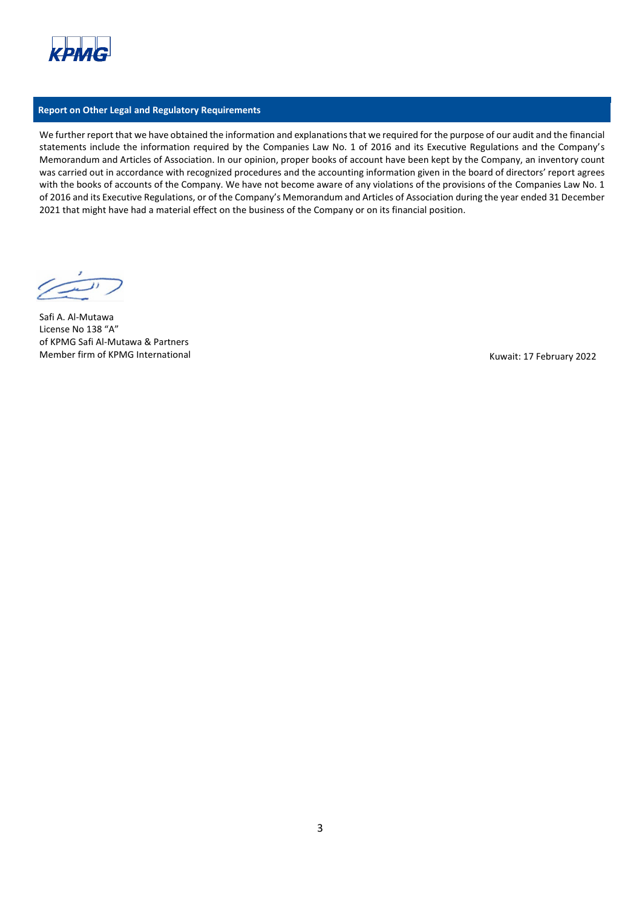

#### **Report on Other Legal and Regulatory Requirements**

We further report that we have obtained the information and explanations that we required for the purpose of our audit and the financial statements include the information required by the Companies Law No. 1 of 2016 and its Executive Regulations and the Company's Memorandum and Articles of Association. In our opinion, proper books of account have been kept by the Company, an inventory count was carried out in accordance with recognized procedures and the accounting information given in the board of directors' report agrees with the books of accounts of the Company. We have not become aware of any violations of the provisions of the Companies Law No. 1 of 2016 and its Executive Regulations, or of the Company's Memorandum and Articles of Association during the year ended 31 December 2021 that might have had a material effect on the business of the Company or on its financial position.

 $\sqrt{2}$ 

Safi A. Al-Mutawa License No 138 "A" of KPMG Safi Al-Mutawa & Partners Member firm of KPMG International and the state of the Case of the Case of the Case of the Kuwait: 17 February 2022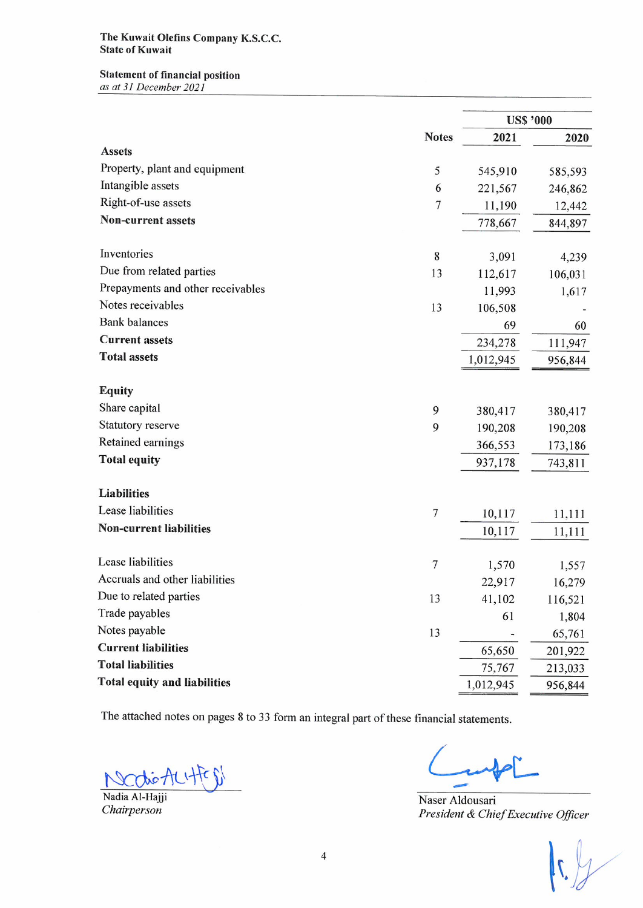# **Statement of financial position**

as at 31 December 2021

|                                     |                | <b>US\$ '000</b> |         |
|-------------------------------------|----------------|------------------|---------|
|                                     | <b>Notes</b>   | 2021             | 2020    |
| <b>Assets</b>                       |                |                  |         |
| Property, plant and equipment       | 5              | 545,910          | 585,593 |
| Intangible assets                   | 6              | 221,567          | 246,862 |
| Right-of-use assets                 | $\overline{7}$ | 11,190           | 12,442  |
| <b>Non-current assets</b>           |                | 778,667          | 844,897 |
| Inventories                         | 8              | 3,091            | 4,239   |
| Due from related parties            | 13             | 112,617          | 106,031 |
| Prepayments and other receivables   |                | 11,993           | 1,617   |
| Notes receivables                   | 13             | 106,508          |         |
| <b>Bank</b> balances                |                | 69               | 60      |
| <b>Current assets</b>               |                | 234,278          | 111,947 |
| <b>Total assets</b>                 |                | 1,012,945        | 956,844 |
| <b>Equity</b>                       |                |                  |         |
| Share capital                       | 9              | 380,417          | 380,417 |
| Statutory reserve                   | 9              | 190,208          | 190,208 |
| Retained earnings                   |                | 366,553          | 173,186 |
| <b>Total equity</b>                 |                | 937,178          | 743,811 |
| <b>Liabilities</b>                  |                |                  |         |
| Lease liabilities                   | $\overline{7}$ |                  |         |
| <b>Non-current liabilities</b>      |                | 10,117           | 11,111  |
|                                     |                | 10,117           | 11,111  |
| Lease liabilities                   | $\overline{7}$ | 1,570            | 1,557   |
| Accruals and other liabilities      |                | 22,917           | 16,279  |
| Due to related parties              | 13             | 41,102           | 116,521 |
| Trade payables                      |                | 61               | 1,804   |
| Notes payable                       | 13             |                  | 65,761  |
| <b>Current liabilities</b>          |                | 65,650           | 201,922 |
| <b>Total liabilities</b>            |                | 75,767           | 213,033 |
| <b>Total equity and liabilities</b> |                | 1,012,945        | 956,844 |

Nadia Al-Hajji Chairperson

Naser Aldousari President & Chief Executive Officer

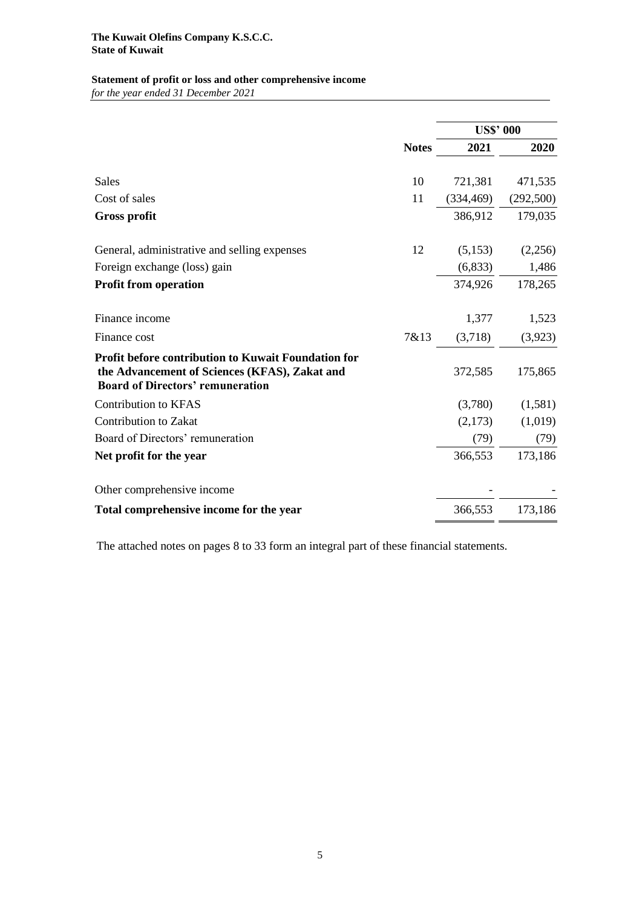## **Statement of profit or loss and other comprehensive income**

*for the year ended 31 December 2021*

|                                                                                                                                                        |              | <b>US\$' 000</b> |           |  |
|--------------------------------------------------------------------------------------------------------------------------------------------------------|--------------|------------------|-----------|--|
|                                                                                                                                                        | <b>Notes</b> | 2021             | 2020      |  |
| <b>Sales</b>                                                                                                                                           | 10           | 721,381          | 471,535   |  |
| Cost of sales                                                                                                                                          | 11           | (334, 469)       | (292,500) |  |
| <b>Gross profit</b>                                                                                                                                    |              | 386,912          | 179,035   |  |
| General, administrative and selling expenses                                                                                                           | 12           | (5,153)          | (2,256)   |  |
| Foreign exchange (loss) gain                                                                                                                           |              | (6,833)          | 1,486     |  |
| <b>Profit from operation</b>                                                                                                                           |              | 374,926          | 178,265   |  |
| Finance income                                                                                                                                         |              | 1,377            | 1,523     |  |
| Finance cost                                                                                                                                           | 7&13         | (3,718)          | (3,923)   |  |
| <b>Profit before contribution to Kuwait Foundation for</b><br>the Advancement of Sciences (KFAS), Zakat and<br><b>Board of Directors' remuneration</b> |              | 372,585          | 175,865   |  |
| <b>Contribution to KFAS</b>                                                                                                                            |              | (3,780)          | (1,581)   |  |
| Contribution to Zakat                                                                                                                                  |              | (2,173)          | (1,019)   |  |
| Board of Directors' remuneration                                                                                                                       |              | (79)             | (79)      |  |
| Net profit for the year                                                                                                                                |              | 366,553          | 173,186   |  |
| Other comprehensive income                                                                                                                             |              |                  |           |  |
| Total comprehensive income for the year                                                                                                                |              | 366,553          | 173,186   |  |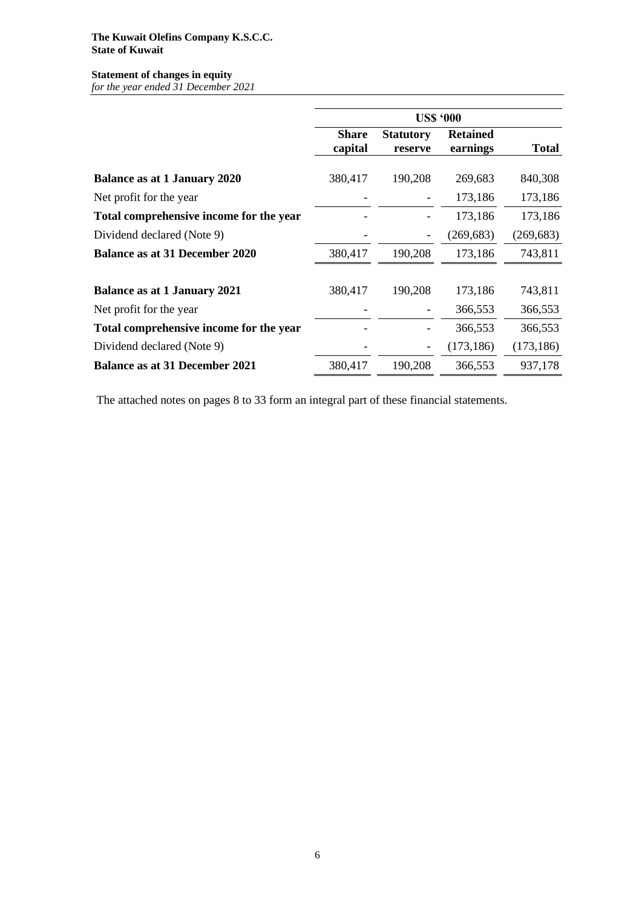#### **Statement of changes in equity**

*for the year ended 31 December 2021*

| <b>US\$ '000</b>        |                             |                             |              |  |
|-------------------------|-----------------------------|-----------------------------|--------------|--|
| <b>Share</b><br>capital | <b>Statutory</b><br>reserve | <b>Retained</b><br>earnings | <b>Total</b> |  |
| 380,417                 | 190,208                     | 269,683                     | 840,308      |  |
|                         |                             | 173,186                     | 173,186      |  |
|                         |                             | 173,186                     | 173,186      |  |
|                         |                             | (269, 683)                  | (269, 683)   |  |
| 380,417                 | 190,208                     | 173,186                     | 743,811      |  |
|                         |                             |                             |              |  |
| 380,417                 | 190,208                     | 173,186                     | 743,811      |  |
|                         |                             | 366,553                     | 366,553      |  |
|                         |                             | 366,553                     | 366,553      |  |
|                         |                             | (173, 186)                  | (173, 186)   |  |
| 380,417                 | 190,208                     | 366,553                     | 937,178      |  |
|                         |                             |                             |              |  |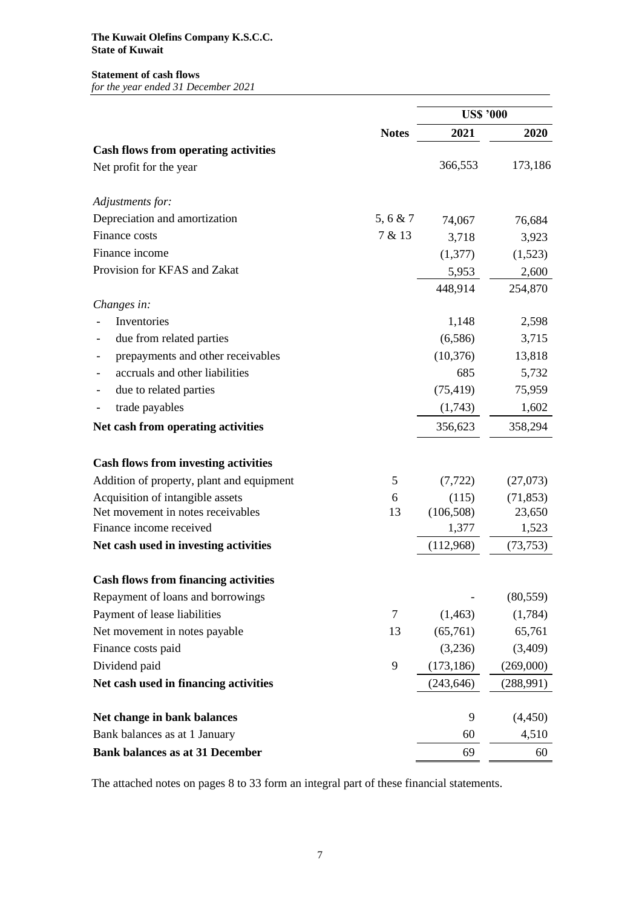#### **Statement of cash flows**

*for the year ended 31 December 2021*

|                                             |              | <b>US\$ '000</b> |           |
|---------------------------------------------|--------------|------------------|-----------|
|                                             | <b>Notes</b> | 2021             | 2020      |
| <b>Cash flows from operating activities</b> |              |                  |           |
| Net profit for the year                     |              | 366,553          | 173,186   |
| Adjustments for:                            |              |                  |           |
| Depreciation and amortization               | 5, 6 $& 7$   | 74,067           | 76,684    |
| Finance costs                               | 7 & 13       | 3,718            | 3,923     |
| Finance income                              |              | (1,377)          | (1,523)   |
| Provision for KFAS and Zakat                |              | 5,953            | 2,600     |
|                                             |              | 448,914          | 254,870   |
| Changes in:                                 |              |                  |           |
| Inventories                                 |              | 1,148            | 2,598     |
| due from related parties                    |              | (6,586)          | 3,715     |
| prepayments and other receivables           |              | (10, 376)        | 13,818    |
| accruals and other liabilities              |              | 685              | 5,732     |
| due to related parties                      |              | (75, 419)        | 75,959    |
| trade payables                              |              | (1,743)          | 1,602     |
| Net cash from operating activities          |              | 356,623          | 358,294   |
| <b>Cash flows from investing activities</b> |              |                  |           |
| Addition of property, plant and equipment   | 5            | (7, 722)         | (27,073)  |
| Acquisition of intangible assets            | 6            | (115)            | (71, 853) |
| Net movement in notes receivables           | 13           | (106, 508)       | 23,650    |
| Finance income received                     |              | 1,377            | 1,523     |
| Net cash used in investing activities       |              | (112,968)        | (73, 753) |
| <b>Cash flows from financing activities</b> |              |                  |           |
| Repayment of loans and borrowings           |              |                  | (80, 559) |
| Payment of lease liabilities                | 7            | (1, 463)         | (1,784)   |
| Net movement in notes payable               | 13           | (65,761)         | 65,761    |
| Finance costs paid                          |              | (3,236)          | (3,409)   |
| Dividend paid                               | 9            | (173, 186)       | (269,000) |
| Net cash used in financing activities       |              | (243, 646)       | (288,991) |
| Net change in bank balances                 |              | 9                | (4,450)   |
| Bank balances as at 1 January               |              | 60               | 4,510     |
| <b>Bank balances as at 31 December</b>      |              | 69               | 60        |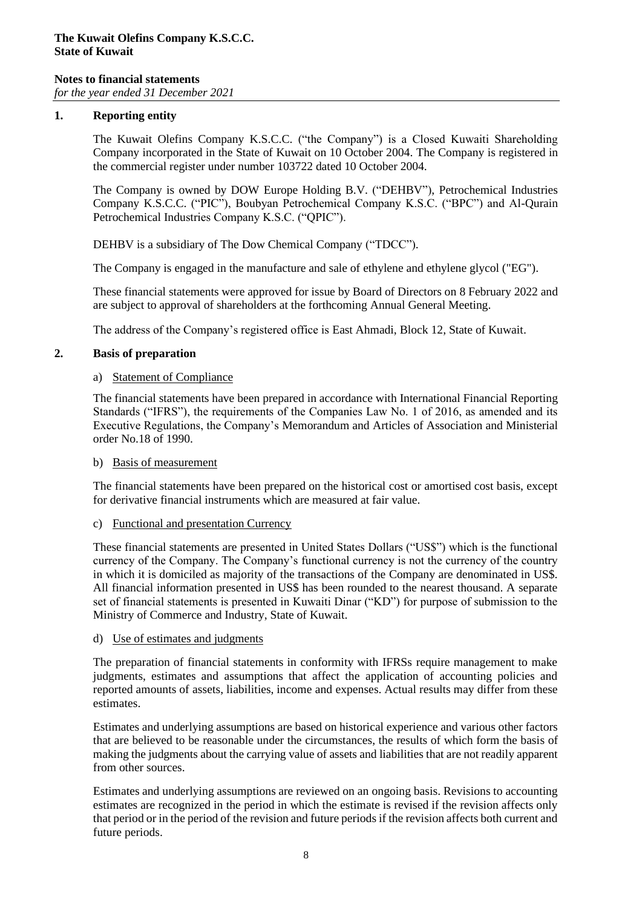*for the year ended 31 December 2021*

## **1. Reporting entity**

The Kuwait Olefins Company K.S.C.C. ("the Company") is a Closed Kuwaiti Shareholding Company incorporated in the State of Kuwait on 10 October 2004. The Company is registered in the commercial register under number 103722 dated 10 October 2004.

The Company is owned by DOW Europe Holding B.V. ("DEHBV"), Petrochemical Industries Company K.S.C.C. ("PIC"), Boubyan Petrochemical Company K.S.C. ("BPC") and Al-Qurain Petrochemical Industries Company K.S.C. ("QPIC").

DEHBV is a subsidiary of The Dow Chemical Company ("TDCC").

The Company is engaged in the manufacture and sale of ethylene and ethylene glycol ("EG").

These financial statements were approved for issue by Board of Directors on 8 February 2022 and are subject to approval of shareholders at the forthcoming Annual General Meeting.

The address of the Company's registered office is East Ahmadi, Block 12, State of Kuwait.

## **2. Basis of preparation**

## a) Statement of Compliance

The financial statements have been prepared in accordance with International Financial Reporting Standards ("IFRS"), the requirements of the Companies Law No. 1 of 2016, as amended and its Executive Regulations, the Company's Memorandum and Articles of Association and Ministerial order No.18 of 1990.

## b) Basis of measurement

The financial statements have been prepared on the historical cost or amortised cost basis, except for derivative financial instruments which are measured at fair value.

## c) Functional and presentation Currency

These financial statements are presented in United States Dollars ("US\$") which is the functional currency of the Company. The Company's functional currency is not the currency of the country in which it is domiciled as majority of the transactions of the Company are denominated in US\$. All financial information presented in US\$ has been rounded to the nearest thousand. A separate set of financial statements is presented in Kuwaiti Dinar ("KD") for purpose of submission to the Ministry of Commerce and Industry, State of Kuwait.

## d) Use of estimates and judgments

The preparation of financial statements in conformity with IFRSs require management to make judgments, estimates and assumptions that affect the application of accounting policies and reported amounts of assets, liabilities, income and expenses. Actual results may differ from these estimates.

Estimates and underlying assumptions are based on historical experience and various other factors that are believed to be reasonable under the circumstances, the results of which form the basis of making the judgments about the carrying value of assets and liabilities that are not readily apparent from other sources.

Estimates and underlying assumptions are reviewed on an ongoing basis. Revisions to accounting estimates are recognized in the period in which the estimate is revised if the revision affects only that period or in the period of the revision and future periods if the revision affects both current and future periods.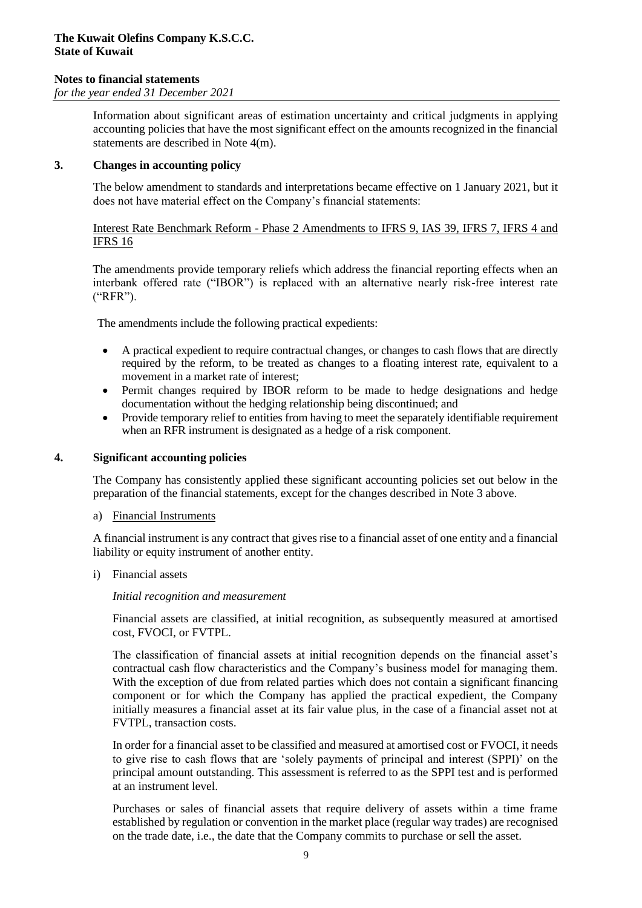*for the year ended 31 December 2021*

Information about significant areas of estimation uncertainty and critical judgments in applying accounting policies that have the most significant effect on the amounts recognized in the financial statements are described in Note 4(m).

## **3. Changes in accounting policy**

The below amendment to standards and interpretations became effective on 1 January 2021, but it does not have material effect on the Company's financial statements:

## Interest Rate Benchmark Reform - Phase 2 Amendments to IFRS 9, IAS 39, IFRS 7, IFRS 4 and IFRS 16

The amendments provide temporary reliefs which address the financial reporting effects when an interbank offered rate ("IBOR") is replaced with an alternative nearly risk-free interest rate ("RFR").

The amendments include the following practical expedients:

- A practical expedient to require contractual changes, or changes to cash flows that are directly required by the reform, to be treated as changes to a floating interest rate, equivalent to a movement in a market rate of interest;
- Permit changes required by IBOR reform to be made to hedge designations and hedge documentation without the hedging relationship being discontinued; and
- Provide temporary relief to entities from having to meet the separately identifiable requirement when an RFR instrument is designated as a hedge of a risk component.

#### **4. Significant accounting policies**

The Company has consistently applied these significant accounting policies set out below in the preparation of the financial statements, except for the changes described in Note 3 above.

a) Financial Instruments

A financial instrument is any contract that gives rise to a financial asset of one entity and a financial liability or equity instrument of another entity.

i) Financial assets

#### *Initial recognition and measurement*

Financial assets are classified, at initial recognition, as subsequently measured at amortised cost, FVOCI, or FVTPL.

The classification of financial assets at initial recognition depends on the financial asset's contractual cash flow characteristics and the Company's business model for managing them. With the exception of due from related parties which does not contain a significant financing component or for which the Company has applied the practical expedient, the Company initially measures a financial asset at its fair value plus, in the case of a financial asset not at FVTPL, transaction costs.

In order for a financial asset to be classified and measured at amortised cost or FVOCI, it needs to give rise to cash flows that are 'solely payments of principal and interest (SPPI)' on the principal amount outstanding. This assessment is referred to as the SPPI test and is performed at an instrument level.

Purchases or sales of financial assets that require delivery of assets within a time frame established by regulation or convention in the market place (regular way trades) are recognised on the trade date, i.e., the date that the Company commits to purchase or sell the asset.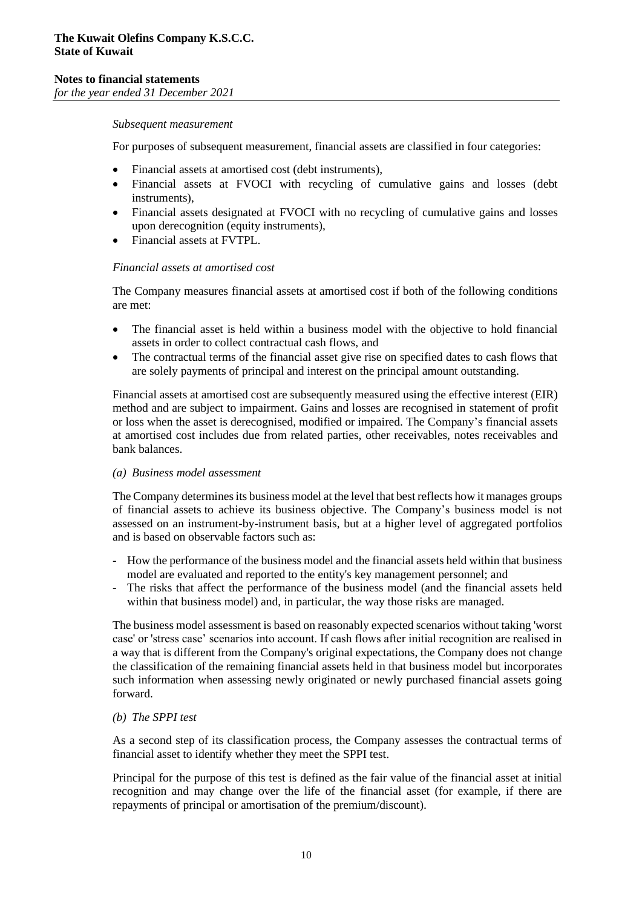#### *Subsequent measurement*

For purposes of subsequent measurement, financial assets are classified in four categories:

- Financial assets at amortised cost (debt instruments),
- Financial assets at FVOCI with recycling of cumulative gains and losses (debt instruments),
- Financial assets designated at FVOCI with no recycling of cumulative gains and losses upon derecognition (equity instruments),
- Financial assets at FVTPL.

#### *Financial assets at amortised cost*

The Company measures financial assets at amortised cost if both of the following conditions are met:

- The financial asset is held within a business model with the objective to hold financial assets in order to collect contractual cash flows, and
- The contractual terms of the financial asset give rise on specified dates to cash flows that are solely payments of principal and interest on the principal amount outstanding.

Financial assets at amortised cost are subsequently measured using the effective interest (EIR) method and are subject to impairment. Gains and losses are recognised in statement of profit or loss when the asset is derecognised, modified or impaired. The Company's financial assets at amortised cost includes due from related parties, other receivables, notes receivables and bank balances.

## *(a) Business model assessment*

The Company determines its business model at the level that best reflects how it manages groups of financial assets to achieve its business objective. The Company's business model is not assessed on an instrument-by-instrument basis, but at a higher level of aggregated portfolios and is based on observable factors such as:

- How the performance of the business model and the financial assets held within that business model are evaluated and reported to the entity's key management personnel; and
- The risks that affect the performance of the business model (and the financial assets held within that business model) and, in particular, the way those risks are managed.

The business model assessment is based on reasonably expected scenarios without taking 'worst case' or 'stress case' scenarios into account. If cash flows after initial recognition are realised in a way that is different from the Company's original expectations, the Company does not change the classification of the remaining financial assets held in that business model but incorporates such information when assessing newly originated or newly purchased financial assets going forward.

## *(b) The SPPI test*

As a second step of its classification process, the Company assesses the contractual terms of financial asset to identify whether they meet the SPPI test.

Principal for the purpose of this test is defined as the fair value of the financial asset at initial recognition and may change over the life of the financial asset (for example, if there are repayments of principal or amortisation of the premium/discount).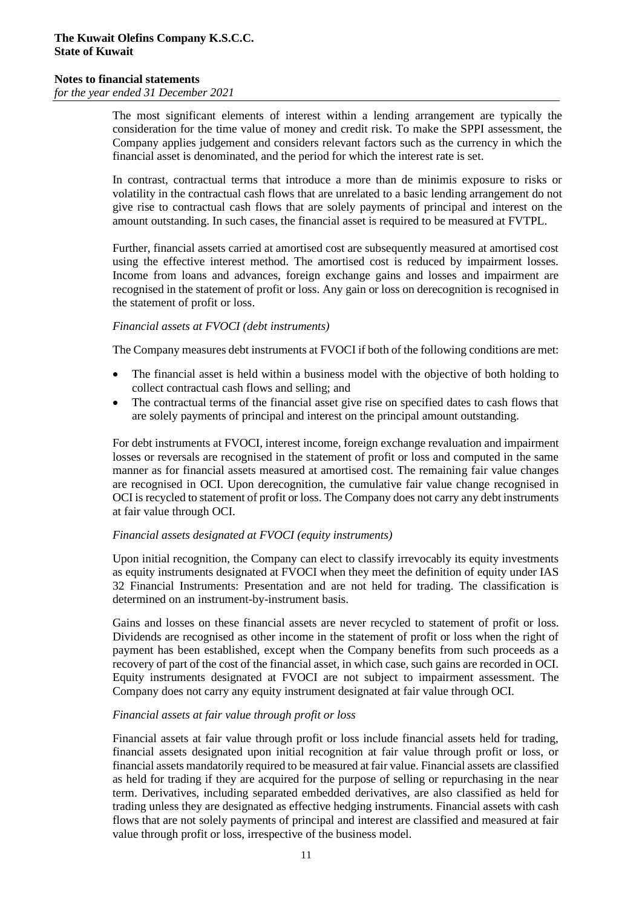*for the year ended 31 December 2021*

The most significant elements of interest within a lending arrangement are typically the consideration for the time value of money and credit risk. To make the SPPI assessment, the Company applies judgement and considers relevant factors such as the currency in which the financial asset is denominated, and the period for which the interest rate is set.

In contrast, contractual terms that introduce a more than de minimis exposure to risks or volatility in the contractual cash flows that are unrelated to a basic lending arrangement do not give rise to contractual cash flows that are solely payments of principal and interest on the amount outstanding. In such cases, the financial asset is required to be measured at FVTPL.

Further, financial assets carried at amortised cost are subsequently measured at amortised cost using the effective interest method. The amortised cost is reduced by impairment losses. Income from loans and advances, foreign exchange gains and losses and impairment are recognised in the statement of profit or loss. Any gain or loss on derecognition is recognised in the statement of profit or loss.

## *Financial assets at FVOCI (debt instruments)*

The Company measures debt instruments at FVOCI if both of the following conditions are met:

- The financial asset is held within a business model with the objective of both holding to collect contractual cash flows and selling; and
- The contractual terms of the financial asset give rise on specified dates to cash flows that are solely payments of principal and interest on the principal amount outstanding.

For debt instruments at FVOCI, interest income, foreign exchange revaluation and impairment losses or reversals are recognised in the statement of profit or loss and computed in the same manner as for financial assets measured at amortised cost. The remaining fair value changes are recognised in OCI. Upon derecognition, the cumulative fair value change recognised in OCI is recycled to statement of profit or loss. The Company does not carry any debt instruments at fair value through OCI.

## *Financial assets designated at FVOCI (equity instruments)*

Upon initial recognition, the Company can elect to classify irrevocably its equity investments as equity instruments designated at FVOCI when they meet the definition of equity under IAS 32 Financial Instruments: Presentation and are not held for trading. The classification is determined on an instrument-by-instrument basis.

Gains and losses on these financial assets are never recycled to statement of profit or loss. Dividends are recognised as other income in the statement of profit or loss when the right of payment has been established, except when the Company benefits from such proceeds as a recovery of part of the cost of the financial asset, in which case, such gains are recorded in OCI. Equity instruments designated at FVOCI are not subject to impairment assessment. The Company does not carry any equity instrument designated at fair value through OCI.

## *Financial assets at fair value through profit or loss*

Financial assets at fair value through profit or loss include financial assets held for trading, financial assets designated upon initial recognition at fair value through profit or loss, or financial assets mandatorily required to be measured at fair value. Financial assets are classified as held for trading if they are acquired for the purpose of selling or repurchasing in the near term. Derivatives, including separated embedded derivatives, are also classified as held for trading unless they are designated as effective hedging instruments. Financial assets with cash flows that are not solely payments of principal and interest are classified and measured at fair value through profit or loss, irrespective of the business model.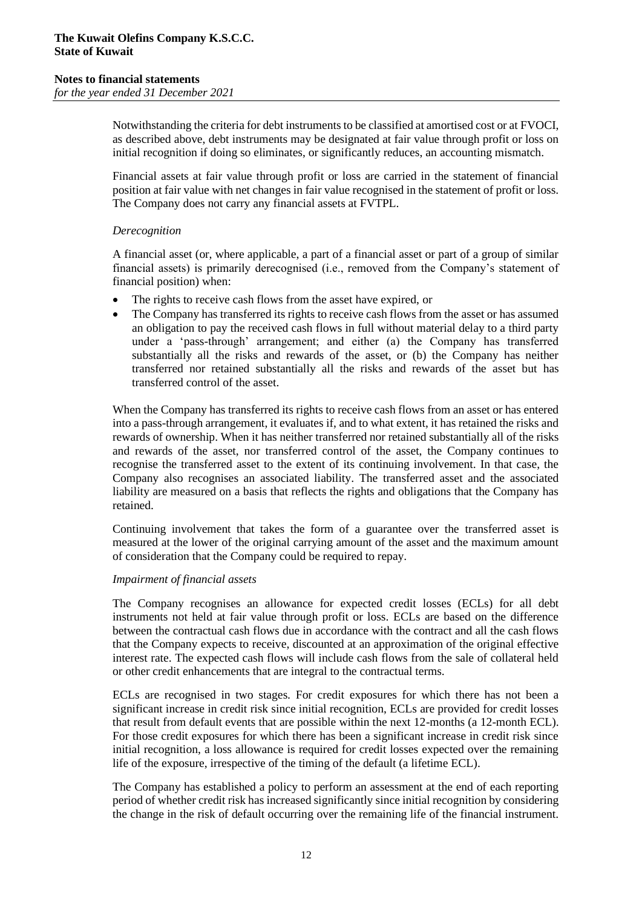Notwithstanding the criteria for debt instruments to be classified at amortised cost or at FVOCI, as described above, debt instruments may be designated at fair value through profit or loss on initial recognition if doing so eliminates, or significantly reduces, an accounting mismatch.

Financial assets at fair value through profit or loss are carried in the statement of financial position at fair value with net changes in fair value recognised in the statement of profit or loss. The Company does not carry any financial assets at FVTPL.

## *Derecognition*

A financial asset (or, where applicable, a part of a financial asset or part of a group of similar financial assets) is primarily derecognised (i.e., removed from the Company's statement of financial position) when:

- The rights to receive cash flows from the asset have expired, or
- The Company has transferred its rights to receive cash flows from the asset or has assumed an obligation to pay the received cash flows in full without material delay to a third party under a 'pass-through' arrangement; and either (a) the Company has transferred substantially all the risks and rewards of the asset, or (b) the Company has neither transferred nor retained substantially all the risks and rewards of the asset but has transferred control of the asset.

When the Company has transferred its rights to receive cash flows from an asset or has entered into a pass-through arrangement, it evaluates if, and to what extent, it has retained the risks and rewards of ownership. When it has neither transferred nor retained substantially all of the risks and rewards of the asset, nor transferred control of the asset, the Company continues to recognise the transferred asset to the extent of its continuing involvement. In that case, the Company also recognises an associated liability. The transferred asset and the associated liability are measured on a basis that reflects the rights and obligations that the Company has retained.

Continuing involvement that takes the form of a guarantee over the transferred asset is measured at the lower of the original carrying amount of the asset and the maximum amount of consideration that the Company could be required to repay.

## *Impairment of financial assets*

The Company recognises an allowance for expected credit losses (ECLs) for all debt instruments not held at fair value through profit or loss. ECLs are based on the difference between the contractual cash flows due in accordance with the contract and all the cash flows that the Company expects to receive, discounted at an approximation of the original effective interest rate. The expected cash flows will include cash flows from the sale of collateral held or other credit enhancements that are integral to the contractual terms.

ECLs are recognised in two stages. For credit exposures for which there has not been a significant increase in credit risk since initial recognition, ECLs are provided for credit losses that result from default events that are possible within the next 12-months (a 12-month ECL). For those credit exposures for which there has been a significant increase in credit risk since initial recognition, a loss allowance is required for credit losses expected over the remaining life of the exposure, irrespective of the timing of the default (a lifetime ECL).

The Company has established a policy to perform an assessment at the end of each reporting period of whether credit risk has increased significantly since initial recognition by considering the change in the risk of default occurring over the remaining life of the financial instrument.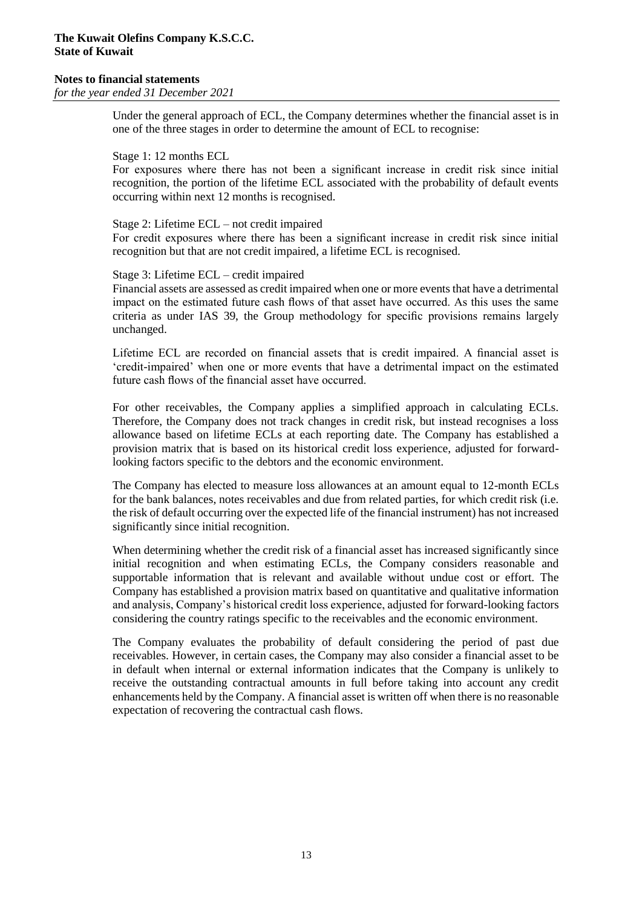*for the year ended 31 December 2021*

Under the general approach of ECL, the Company determines whether the financial asset is in one of the three stages in order to determine the amount of ECL to recognise:

#### Stage 1: 12 months ECL

For exposures where there has not been a significant increase in credit risk since initial recognition, the portion of the lifetime ECL associated with the probability of default events occurring within next 12 months is recognised.

#### Stage 2: Lifetime ECL – not credit impaired

For credit exposures where there has been a significant increase in credit risk since initial recognition but that are not credit impaired, a lifetime ECL is recognised.

#### Stage 3: Lifetime ECL – credit impaired

Financial assets are assessed as credit impaired when one or more events that have a detrimental impact on the estimated future cash flows of that asset have occurred. As this uses the same criteria as under IAS 39, the Group methodology for specific provisions remains largely unchanged.

Lifetime ECL are recorded on financial assets that is credit impaired. A financial asset is 'credit-impaired' when one or more events that have a detrimental impact on the estimated future cash flows of the financial asset have occurred.

For other receivables, the Company applies a simplified approach in calculating ECLs. Therefore, the Company does not track changes in credit risk, but instead recognises a loss allowance based on lifetime ECLs at each reporting date. The Company has established a provision matrix that is based on its historical credit loss experience, adjusted for forwardlooking factors specific to the debtors and the economic environment.

The Company has elected to measure loss allowances at an amount equal to 12-month ECLs for the bank balances, notes receivables and due from related parties, for which credit risk (i.e. the risk of default occurring over the expected life of the financial instrument) has not increased significantly since initial recognition.

When determining whether the credit risk of a financial asset has increased significantly since initial recognition and when estimating ECLs, the Company considers reasonable and supportable information that is relevant and available without undue cost or effort. The Company has established a provision matrix based on quantitative and qualitative information and analysis, Company's historical credit loss experience, adjusted for forward-looking factors considering the country ratings specific to the receivables and the economic environment.

The Company evaluates the probability of default considering the period of past due receivables. However, in certain cases, the Company may also consider a financial asset to be in default when internal or external information indicates that the Company is unlikely to receive the outstanding contractual amounts in full before taking into account any credit enhancements held by the Company. A financial asset is written off when there is no reasonable expectation of recovering the contractual cash flows.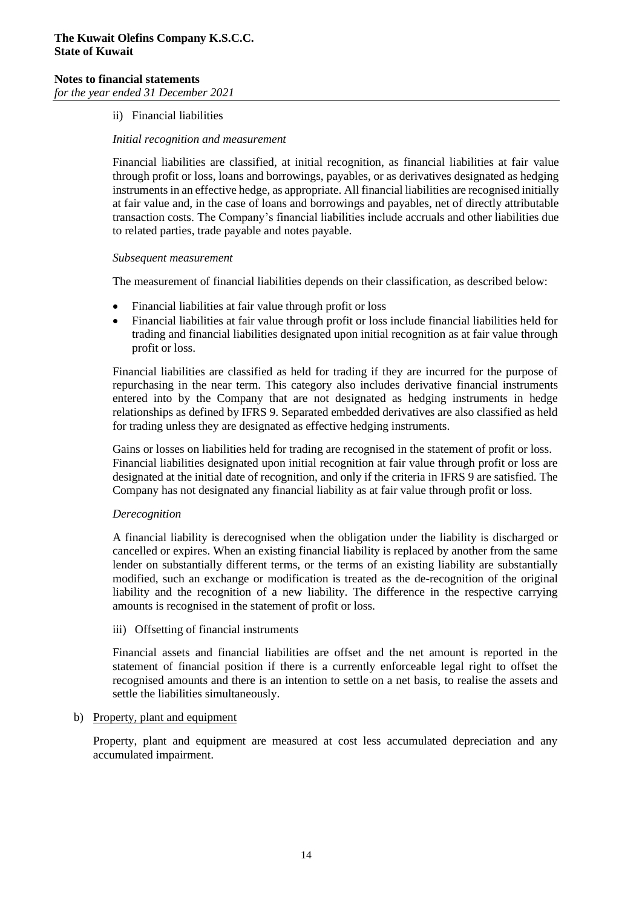*for the year ended 31 December 2021*

## ii) Financial liabilities

#### *Initial recognition and measurement*

Financial liabilities are classified, at initial recognition, as financial liabilities at fair value through profit or loss, loans and borrowings, payables, or as derivatives designated as hedging instruments in an effective hedge, as appropriate. All financial liabilities are recognised initially at fair value and, in the case of loans and borrowings and payables, net of directly attributable transaction costs. The Company's financial liabilities include accruals and other liabilities due to related parties, trade payable and notes payable.

## *Subsequent measurement*

The measurement of financial liabilities depends on their classification, as described below:

- Financial liabilities at fair value through profit or loss
- Financial liabilities at fair value through profit or loss include financial liabilities held for trading and financial liabilities designated upon initial recognition as at fair value through profit or loss.

Financial liabilities are classified as held for trading if they are incurred for the purpose of repurchasing in the near term. This category also includes derivative financial instruments entered into by the Company that are not designated as hedging instruments in hedge relationships as defined by IFRS 9. Separated embedded derivatives are also classified as held for trading unless they are designated as effective hedging instruments.

Gains or losses on liabilities held for trading are recognised in the statement of profit or loss. Financial liabilities designated upon initial recognition at fair value through profit or loss are designated at the initial date of recognition, and only if the criteria in IFRS 9 are satisfied. The Company has not designated any financial liability as at fair value through profit or loss.

## *Derecognition*

A financial liability is derecognised when the obligation under the liability is discharged or cancelled or expires. When an existing financial liability is replaced by another from the same lender on substantially different terms, or the terms of an existing liability are substantially modified, such an exchange or modification is treated as the de-recognition of the original liability and the recognition of a new liability. The difference in the respective carrying amounts is recognised in the statement of profit or loss.

iii) Offsetting of financial instruments

Financial assets and financial liabilities are offset and the net amount is reported in the statement of financial position if there is a currently enforceable legal right to offset the recognised amounts and there is an intention to settle on a net basis, to realise the assets and settle the liabilities simultaneously.

## b) Property, plant and equipment

Property, plant and equipment are measured at cost less accumulated depreciation and any accumulated impairment.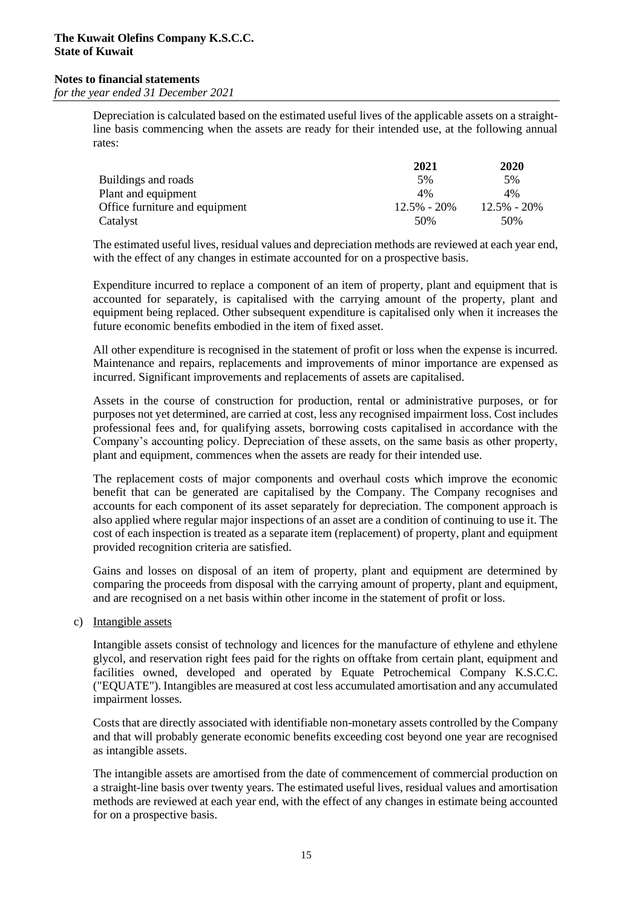#### **Notes to financial statements**  *for the year ended 31 December 2021*

Depreciation is calculated based on the estimated useful lives of the applicable assets on a straightline basis commencing when the assets are ready for their intended use, at the following annual rates:

|                                | 2021            | 2020            |
|--------------------------------|-----------------|-----------------|
| Buildings and roads            | .5%             | .5%             |
| Plant and equipment            | 4%              | 4%              |
| Office furniture and equipment | $12.5\% - 20\%$ | $12.5\% - 20\%$ |
| Catalyst                       | 50%             | 50%             |

The estimated useful lives, residual values and depreciation methods are reviewed at each year end, with the effect of any changes in estimate accounted for on a prospective basis.

Expenditure incurred to replace a component of an item of property, plant and equipment that is accounted for separately, is capitalised with the carrying amount of the property, plant and equipment being replaced. Other subsequent expenditure is capitalised only when it increases the future economic benefits embodied in the item of fixed asset.

All other expenditure is recognised in the statement of profit or loss when the expense is incurred. Maintenance and repairs, replacements and improvements of minor importance are expensed as incurred. Significant improvements and replacements of assets are capitalised.

Assets in the course of construction for production, rental or administrative purposes, or for purposes not yet determined, are carried at cost, less any recognised impairment loss. Cost includes professional fees and, for qualifying assets, borrowing costs capitalised in accordance with the Company's accounting policy. Depreciation of these assets, on the same basis as other property, plant and equipment, commences when the assets are ready for their intended use.

The replacement costs of major components and overhaul costs which improve the economic benefit that can be generated are capitalised by the Company. The Company recognises and accounts for each component of its asset separately for depreciation. The component approach is also applied where regular major inspections of an asset are a condition of continuing to use it. The cost of each inspection is treated as a separate item (replacement) of property, plant and equipment provided recognition criteria are satisfied.

Gains and losses on disposal of an item of property, plant and equipment are determined by comparing the proceeds from disposal with the carrying amount of property, plant and equipment, and are recognised on a net basis within other income in the statement of profit or loss.

c) Intangible assets

Intangible assets consist of technology and licences for the manufacture of ethylene and ethylene glycol, and reservation right fees paid for the rights on offtake from certain plant, equipment and facilities owned, developed and operated by Equate Petrochemical Company K.S.C.C. ("EQUATE"). Intangibles are measured at cost less accumulated amortisation and any accumulated impairment losses.

Costs that are directly associated with identifiable non-monetary assets controlled by the Company and that will probably generate economic benefits exceeding cost beyond one year are recognised as intangible assets.

The intangible assets are amortised from the date of commencement of commercial production on a straight-line basis over twenty years. The estimated useful lives, residual values and amortisation methods are reviewed at each year end, with the effect of any changes in estimate being accounted for on a prospective basis.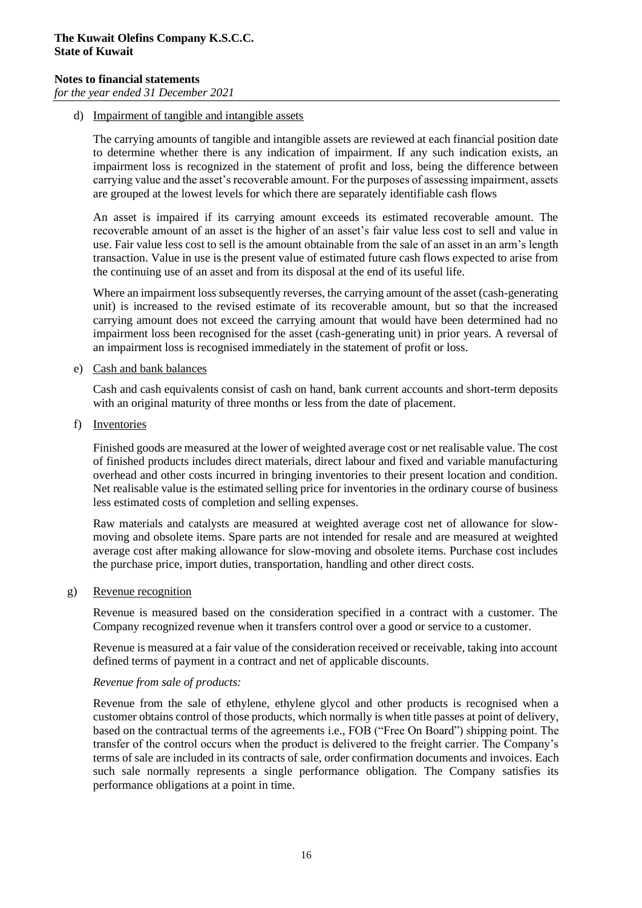*for the year ended 31 December 2021*

#### d) Impairment of tangible and intangible assets

The carrying amounts of tangible and intangible assets are reviewed at each financial position date to determine whether there is any indication of impairment. If any such indication exists, an impairment loss is recognized in the statement of profit and loss, being the difference between carrying value and the asset's recoverable amount. For the purposes of assessing impairment, assets are grouped at the lowest levels for which there are separately identifiable cash flows

An asset is impaired if its carrying amount exceeds its estimated recoverable amount. The recoverable amount of an asset is the higher of an asset's fair value less cost to sell and value in use. Fair value less cost to sell is the amount obtainable from the sale of an asset in an arm's length transaction. Value in use is the present value of estimated future cash flows expected to arise from the continuing use of an asset and from its disposal at the end of its useful life.

Where an impairment loss subsequently reverses, the carrying amount of the asset (cash-generating unit) is increased to the revised estimate of its recoverable amount, but so that the increased carrying amount does not exceed the carrying amount that would have been determined had no impairment loss been recognised for the asset (cash-generating unit) in prior years. A reversal of an impairment loss is recognised immediately in the statement of profit or loss.

#### e) Cash and bank balances

Cash and cash equivalents consist of cash on hand, bank current accounts and short-term deposits with an original maturity of three months or less from the date of placement.

f) Inventories

Finished goods are measured at the lower of weighted average cost or net realisable value. The cost of finished products includes direct materials, direct labour and fixed and variable manufacturing overhead and other costs incurred in bringing inventories to their present location and condition. Net realisable value is the estimated selling price for inventories in the ordinary course of business less estimated costs of completion and selling expenses.

Raw materials and catalysts are measured at weighted average cost net of allowance for slowmoving and obsolete items. Spare parts are not intended for resale and are measured at weighted average cost after making allowance for slow-moving and obsolete items. Purchase cost includes the purchase price, import duties, transportation, handling and other direct costs.

## g) Revenue recognition

Revenue is measured based on the consideration specified in a contract with a customer. The Company recognized revenue when it transfers control over a good or service to a customer.

Revenue is measured at a fair value of the consideration received or receivable, taking into account defined terms of payment in a contract and net of applicable discounts.

## *Revenue from sale of products:*

Revenue from the sale of ethylene, ethylene glycol and other products is recognised when a customer obtains control of those products, which normally is when title passes at point of delivery, based on the contractual terms of the agreements i.e., FOB ("Free On Board") shipping point. The transfer of the control occurs when the product is delivered to the freight carrier. The Company's terms of sale are included in its contracts of sale, order confirmation documents and invoices. Each such sale normally represents a single performance obligation. The Company satisfies its performance obligations at a point in time.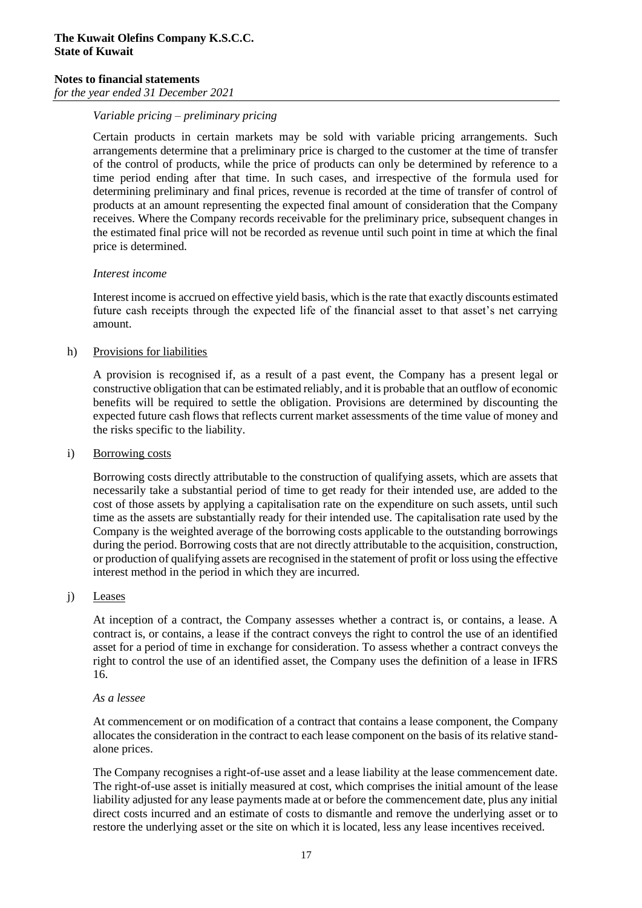#### **Notes to financial statements**  *for the year ended 31 December 2021*

## *Variable pricing – preliminary pricing*

Certain products in certain markets may be sold with variable pricing arrangements. Such arrangements determine that a preliminary price is charged to the customer at the time of transfer of the control of products, while the price of products can only be determined by reference to a time period ending after that time. In such cases, and irrespective of the formula used for determining preliminary and final prices, revenue is recorded at the time of transfer of control of products at an amount representing the expected final amount of consideration that the Company receives. Where the Company records receivable for the preliminary price, subsequent changes in the estimated final price will not be recorded as revenue until such point in time at which the final price is determined.

## *Interest income*

Interest income is accrued on effective yield basis, which is the rate that exactly discounts estimated future cash receipts through the expected life of the financial asset to that asset's net carrying amount.

## h) Provisions for liabilities

A provision is recognised if, as a result of a past event, the Company has a present legal or constructive obligation that can be estimated reliably, and it is probable that an outflow of economic benefits will be required to settle the obligation. Provisions are determined by discounting the expected future cash flows that reflects current market assessments of the time value of money and the risks specific to the liability.

#### i) Borrowing costs

Borrowing costs directly attributable to the construction of qualifying assets, which are assets that necessarily take a substantial period of time to get ready for their intended use, are added to the cost of those assets by applying a capitalisation rate on the expenditure on such assets, until such time as the assets are substantially ready for their intended use. The capitalisation rate used by the Company is the weighted average of the borrowing costs applicable to the outstanding borrowings during the period. Borrowing costs that are not directly attributable to the acquisition, construction, or production of qualifying assets are recognised in the statement of profit or loss using the effective interest method in the period in which they are incurred.

## j) Leases

At inception of a contract, the Company assesses whether a contract is, or contains, a lease. A contract is, or contains, a lease if the contract conveys the right to control the use of an identified asset for a period of time in exchange for consideration. To assess whether a contract conveys the right to control the use of an identified asset, the Company uses the definition of a lease in IFRS 16.

#### *As a lessee*

At commencement or on modification of a contract that contains a lease component, the Company allocates the consideration in the contract to each lease component on the basis of its relative standalone prices.

The Company recognises a right-of-use asset and a lease liability at the lease commencement date. The right-of-use asset is initially measured at cost, which comprises the initial amount of the lease liability adjusted for any lease payments made at or before the commencement date, plus any initial direct costs incurred and an estimate of costs to dismantle and remove the underlying asset or to restore the underlying asset or the site on which it is located, less any lease incentives received.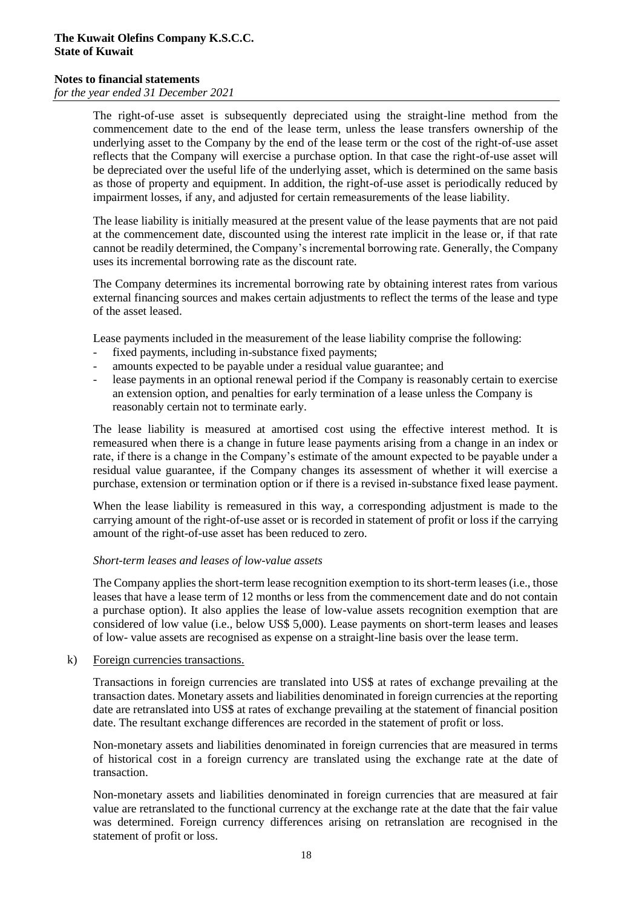*for the year ended 31 December 2021*

The right-of-use asset is subsequently depreciated using the straight-line method from the commencement date to the end of the lease term, unless the lease transfers ownership of the underlying asset to the Company by the end of the lease term or the cost of the right-of-use asset reflects that the Company will exercise a purchase option. In that case the right-of-use asset will be depreciated over the useful life of the underlying asset, which is determined on the same basis as those of property and equipment. In addition, the right-of-use asset is periodically reduced by impairment losses, if any, and adjusted for certain remeasurements of the lease liability.

The lease liability is initially measured at the present value of the lease payments that are not paid at the commencement date, discounted using the interest rate implicit in the lease or, if that rate cannot be readily determined, the Company's incremental borrowing rate. Generally, the Company uses its incremental borrowing rate as the discount rate.

The Company determines its incremental borrowing rate by obtaining interest rates from various external financing sources and makes certain adjustments to reflect the terms of the lease and type of the asset leased.

Lease payments included in the measurement of the lease liability comprise the following:

- fixed payments, including in-substance fixed payments;
- amounts expected to be payable under a residual value guarantee; and
- lease payments in an optional renewal period if the Company is reasonably certain to exercise an extension option, and penalties for early termination of a lease unless the Company is reasonably certain not to terminate early.

The lease liability is measured at amortised cost using the effective interest method. It is remeasured when there is a change in future lease payments arising from a change in an index or rate, if there is a change in the Company's estimate of the amount expected to be payable under a residual value guarantee, if the Company changes its assessment of whether it will exercise a purchase, extension or termination option or if there is a revised in-substance fixed lease payment.

When the lease liability is remeasured in this way, a corresponding adjustment is made to the carrying amount of the right-of-use asset or is recorded in statement of profit or loss if the carrying amount of the right-of-use asset has been reduced to zero.

## *Short-term leases and leases of low-value assets*

The Company applies the short-term lease recognition exemption to its short-term leases (i.e., those leases that have a lease term of 12 months or less from the commencement date and do not contain a purchase option). It also applies the lease of low-value assets recognition exemption that are considered of low value (i.e., below US\$ 5,000). Lease payments on short-term leases and leases of low- value assets are recognised as expense on a straight-line basis over the lease term.

#### k) Foreign currencies transactions.

Transactions in foreign currencies are translated into US\$ at rates of exchange prevailing at the transaction dates. Monetary assets and liabilities denominated in foreign currencies at the reporting date are retranslated into US\$ at rates of exchange prevailing at the statement of financial position date. The resultant exchange differences are recorded in the statement of profit or loss.

Non-monetary assets and liabilities denominated in foreign currencies that are measured in terms of historical cost in a foreign currency are translated using the exchange rate at the date of transaction.

Non-monetary assets and liabilities denominated in foreign currencies that are measured at fair value are retranslated to the functional currency at the exchange rate at the date that the fair value was determined. Foreign currency differences arising on retranslation are recognised in the statement of profit or loss.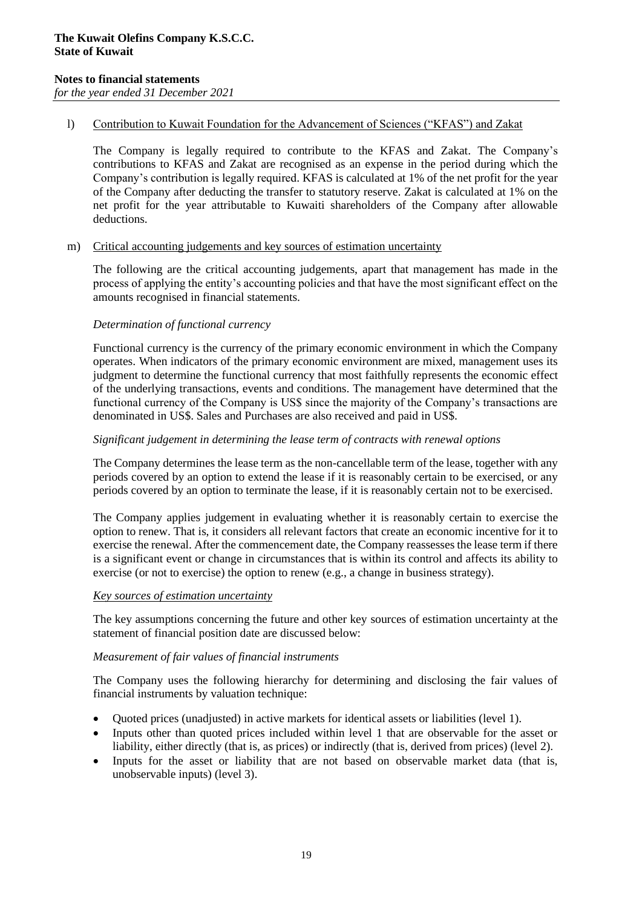*for the year ended 31 December 2021*

#### l) Contribution to Kuwait Foundation for the Advancement of Sciences ("KFAS") and Zakat

The Company is legally required to contribute to the KFAS and Zakat. The Company's contributions to KFAS and Zakat are recognised as an expense in the period during which the Company's contribution is legally required. KFAS is calculated at 1% of the net profit for the year of the Company after deducting the transfer to statutory reserve. Zakat is calculated at 1% on the net profit for the year attributable to Kuwaiti shareholders of the Company after allowable deductions.

## m) Critical accounting judgements and key sources of estimation uncertainty

The following are the critical accounting judgements, apart that management has made in the process of applying the entity's accounting policies and that have the most significant effect on the amounts recognised in financial statements.

#### *Determination of functional currency*

Functional currency is the currency of the primary economic environment in which the Company operates. When indicators of the primary economic environment are mixed, management uses its judgment to determine the functional currency that most faithfully represents the economic effect of the underlying transactions, events and conditions. The management have determined that the functional currency of the Company is US\$ since the majority of the Company's transactions are denominated in US\$. Sales and Purchases are also received and paid in US\$.

#### *Significant judgement in determining the lease term of contracts with renewal options*

The Company determines the lease term as the non-cancellable term of the lease, together with any periods covered by an option to extend the lease if it is reasonably certain to be exercised, or any periods covered by an option to terminate the lease, if it is reasonably certain not to be exercised.

The Company applies judgement in evaluating whether it is reasonably certain to exercise the option to renew. That is, it considers all relevant factors that create an economic incentive for it to exercise the renewal. After the commencement date, the Company reassesses the lease term if there is a significant event or change in circumstances that is within its control and affects its ability to exercise (or not to exercise) the option to renew (e.g., a change in business strategy).

#### *Key sources of estimation uncertainty*

The key assumptions concerning the future and other key sources of estimation uncertainty at the statement of financial position date are discussed below:

#### *Measurement of fair values of financial instruments*

The Company uses the following hierarchy for determining and disclosing the fair values of financial instruments by valuation technique:

- Quoted prices (unadjusted) in active markets for identical assets or liabilities (level 1).
- Inputs other than quoted prices included within level 1 that are observable for the asset or liability, either directly (that is, as prices) or indirectly (that is, derived from prices) (level 2).
- Inputs for the asset or liability that are not based on observable market data (that is, unobservable inputs) (level 3).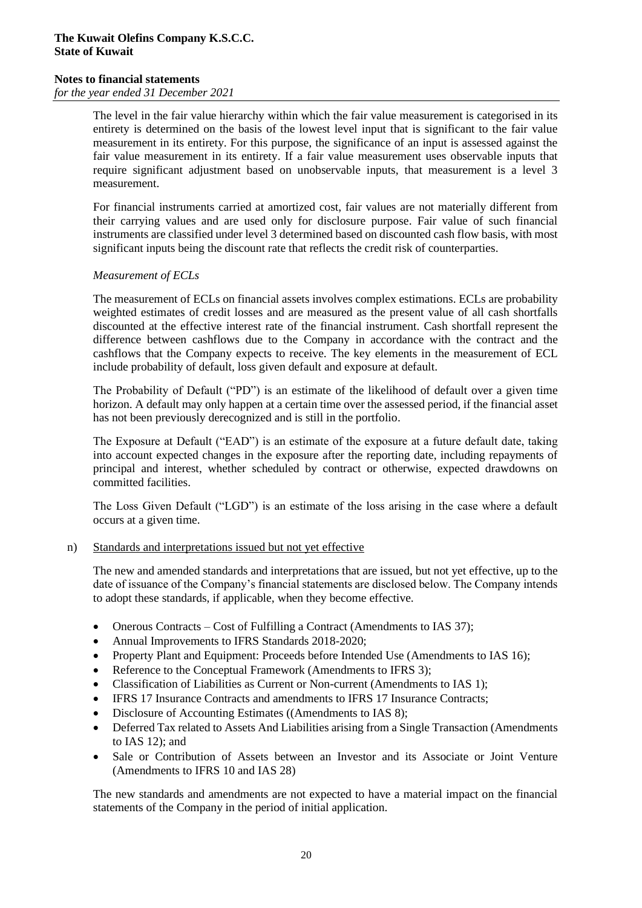*for the year ended 31 December 2021*

The level in the fair value hierarchy within which the fair value measurement is categorised in its entirety is determined on the basis of the lowest level input that is significant to the fair value measurement in its entirety. For this purpose, the significance of an input is assessed against the fair value measurement in its entirety. If a fair value measurement uses observable inputs that require significant adjustment based on unobservable inputs, that measurement is a level 3 measurement.

For financial instruments carried at amortized cost, fair values are not materially different from their carrying values and are used only for disclosure purpose. Fair value of such financial instruments are classified under level 3 determined based on discounted cash flow basis, with most significant inputs being the discount rate that reflects the credit risk of counterparties.

## *Measurement of ECLs*

The measurement of ECLs on financial assets involves complex estimations. ECLs are probability weighted estimates of credit losses and are measured as the present value of all cash shortfalls discounted at the effective interest rate of the financial instrument. Cash shortfall represent the difference between cashflows due to the Company in accordance with the contract and the cashflows that the Company expects to receive. The key elements in the measurement of ECL include probability of default, loss given default and exposure at default.

The Probability of Default ("PD") is an estimate of the likelihood of default over a given time horizon. A default may only happen at a certain time over the assessed period, if the financial asset has not been previously derecognized and is still in the portfolio.

The Exposure at Default ("EAD") is an estimate of the exposure at a future default date, taking into account expected changes in the exposure after the reporting date, including repayments of principal and interest, whether scheduled by contract or otherwise, expected drawdowns on committed facilities.

The Loss Given Default ("LGD") is an estimate of the loss arising in the case where a default occurs at a given time.

## n) Standards and interpretations issued but not yet effective

The new and amended standards and interpretations that are issued, but not yet effective, up to the date of issuance of the Company's financial statements are disclosed below. The Company intends to adopt these standards, if applicable, when they become effective.

- Onerous Contracts Cost of Fulfilling a Contract (Amendments to IAS 37);
- Annual Improvements to IFRS Standards 2018-2020;
- Property Plant and Equipment: Proceeds before Intended Use (Amendments to IAS 16);
- Reference to the Conceptual Framework (Amendments to IFRS 3);
- Classification of Liabilities as Current or Non-current (Amendments to IAS 1);
- IFRS 17 Insurance Contracts and amendments to IFRS 17 Insurance Contracts;
- Disclosure of Accounting Estimates ((Amendments to IAS 8);
- Deferred Tax related to Assets And Liabilities arising from a Single Transaction (Amendments to IAS 12); and
- Sale or Contribution of Assets between an Investor and its Associate or Joint Venture (Amendments to IFRS 10 and IAS 28)

The new standards and amendments are not expected to have a material impact on the financial statements of the Company in the period of initial application.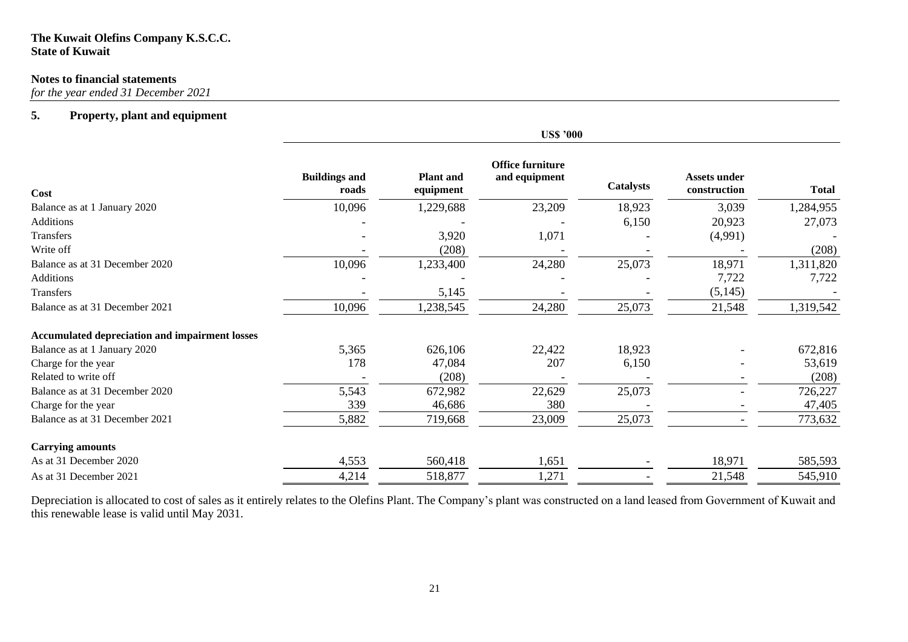## **Notes to financial statements**

*for the year ended 31 December 2021*

## **5. Property, plant and equipment**

|                                                       |                               |                               | <b>US\$ '000</b>                         |                  |                                     |              |
|-------------------------------------------------------|-------------------------------|-------------------------------|------------------------------------------|------------------|-------------------------------------|--------------|
| Cost                                                  | <b>Buildings and</b><br>roads | <b>Plant</b> and<br>equipment | <b>Office furniture</b><br>and equipment | <b>Catalysts</b> | <b>Assets under</b><br>construction | <b>Total</b> |
| Balance as at 1 January 2020                          | 10,096                        | 1,229,688                     | 23,209                                   | 18,923           | 3,039                               | 1,284,955    |
| Additions                                             |                               |                               |                                          | 6,150            | 20,923                              | 27,073       |
| Transfers                                             |                               | 3,920                         | 1,071                                    |                  | (4,991)                             |              |
| Write off                                             |                               | (208)                         |                                          |                  |                                     | (208)        |
| Balance as at 31 December 2020                        | 10,096                        | 1,233,400                     | 24,280                                   | 25,073           | 18,971                              | 1,311,820    |
| Additions                                             |                               |                               |                                          |                  | 7,722                               | 7,722        |
| Transfers                                             |                               | 5,145                         |                                          |                  | (5,145)                             |              |
| Balance as at 31 December 2021                        | 10,096                        | 1,238,545                     | 24,280                                   | 25,073           | 21,548                              | 1,319,542    |
| <b>Accumulated depreciation and impairment losses</b> |                               |                               |                                          |                  |                                     |              |
| Balance as at 1 January 2020                          | 5,365                         | 626,106                       | 22,422                                   | 18,923           |                                     | 672,816      |
| Charge for the year                                   | 178                           | 47,084                        | 207                                      | 6,150            |                                     | 53,619       |
| Related to write off                                  |                               | (208)                         |                                          |                  |                                     | (208)        |
| Balance as at 31 December 2020                        | 5,543                         | 672,982                       | 22,629                                   | 25,073           |                                     | 726,227      |
| Charge for the year                                   | 339                           | 46,686                        | 380                                      |                  |                                     | 47,405       |
| Balance as at 31 December 2021                        | 5,882                         | 719,668                       | 23,009                                   | 25,073           |                                     | 773,632      |
| <b>Carrying amounts</b>                               |                               |                               |                                          |                  |                                     |              |
| As at 31 December 2020                                | 4,553                         | 560,418                       | 1,651                                    |                  | 18,971                              | 585,593      |
| As at 31 December 2021                                | 4,214                         | 518,877                       | 1,271                                    |                  | 21,548                              | 545,910      |

Depreciation is allocated to cost of sales as it entirely relates to the Olefins Plant. The Company's plant was constructed on a land leased from Government of Kuwait and this renewable lease is valid until May 2031.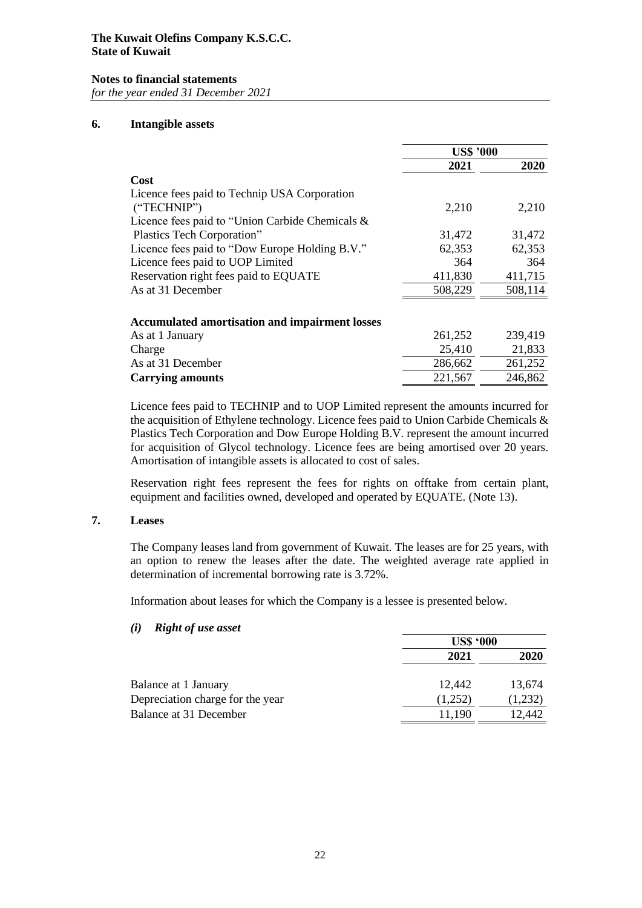## **Notes to financial statements**

*for the year ended 31 December 2021*

## **6. Intangible assets**

|                                                       | <b>US\$ '000</b> |         |  |
|-------------------------------------------------------|------------------|---------|--|
|                                                       | 2021             | 2020    |  |
| Cost                                                  |                  |         |  |
| Licence fees paid to Technip USA Corporation          |                  |         |  |
| ("TECHNIP")                                           | 2,210            | 2,210   |  |
| Licence fees paid to "Union Carbide Chemicals &       |                  |         |  |
| Plastics Tech Corporation"                            | 31,472           | 31,472  |  |
| Licence fees paid to "Dow Europe Holding B.V."        | 62,353           | 62,353  |  |
| Licence fees paid to UOP Limited                      | 364              | 364     |  |
| Reservation right fees paid to EQUATE                 | 411,830          | 411,715 |  |
| As at 31 December                                     | 508,229          | 508,114 |  |
|                                                       |                  |         |  |
| <b>Accumulated amortisation and impairment losses</b> |                  |         |  |
| As at 1 January                                       | 261,252          | 239,419 |  |
| Charge                                                | 25,410           | 21,833  |  |
| As at 31 December                                     | 286,662          | 261,252 |  |
| <b>Carrying amounts</b>                               | 221,567          | 246,862 |  |

Licence fees paid to TECHNIP and to UOP Limited represent the amounts incurred for the acquisition of Ethylene technology. Licence fees paid to Union Carbide Chemicals & Plastics Tech Corporation and Dow Europe Holding B.V. represent the amount incurred for acquisition of Glycol technology. Licence fees are being amortised over 20 years. Amortisation of intangible assets is allocated to cost of sales.

Reservation right fees represent the fees for rights on offtake from certain plant, equipment and facilities owned, developed and operated by EQUATE. (Note 13).

## **7. Leases**

The Company leases land from government of Kuwait. The leases are for 25 years, with an option to renew the leases after the date. The weighted average rate applied in determination of incremental borrowing rate is 3.72%.

Information about leases for which the Company is a lessee is presented below.

## *(i) Right of use asset*

|                                  | <b>US\$ '000</b> |         |  |
|----------------------------------|------------------|---------|--|
|                                  | 2021             | 2020    |  |
| Balance at 1 January             | 12.442           | 13,674  |  |
| Depreciation charge for the year | (1,252)          | (1,232) |  |
| Balance at 31 December           | 11,190           | 12.442  |  |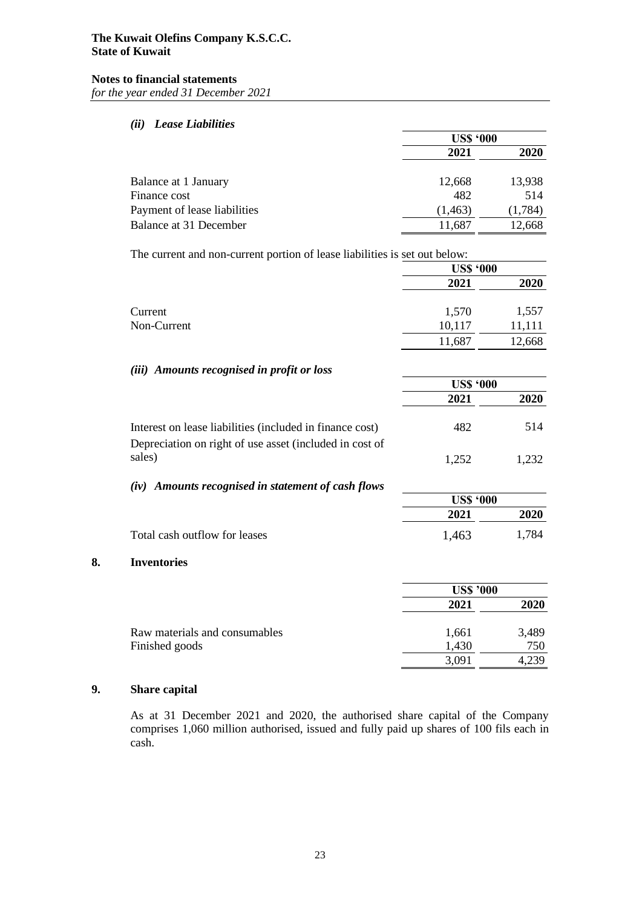## **Notes to financial statements**

*for the year ended 31 December 2021*

## *(ii) Lease Liabilities*

|                              | <b>US\$ '000</b> |         |  |
|------------------------------|------------------|---------|--|
|                              | 2021             | 2020    |  |
| Balance at 1 January         | 12,668           | 13,938  |  |
| Finance cost                 | 482              | 514     |  |
| Payment of lease liabilities | (1, 463)         | (1,784) |  |
| Balance at 31 December       | 11,687           | 12,668  |  |

The current and non-current portion of lease liabilities is set out below:

|             |        | <b>US\$ '000</b> |  |  |
|-------------|--------|------------------|--|--|
|             | 2021   | 2020             |  |  |
| Current     | 1,570  | 1,557            |  |  |
| Non-Current | 10,117 | 11,111           |  |  |
|             | 11,687 | 12,668           |  |  |

## *(iii) Amounts recognised in profit or loss*

|                                                                                                                     | <b>USS '000</b> |       |
|---------------------------------------------------------------------------------------------------------------------|-----------------|-------|
|                                                                                                                     | 2021            | 2020  |
| Interest on lease liabilities (included in finance cost)<br>Depreciation on right of use asset (included in cost of | 482             | 514   |
| sales)                                                                                                              | 1.252           | 1.232 |

## *(iv) Amounts recognised in statement of cash flows*

|                               | 2021  | <b>2020</b> |
|-------------------------------|-------|-------------|
| Total cash outflow for leases | 1,463 | 1,784       |

**US\$ '000**

## **8. Inventories**

|                               | <b>US\$ '000</b> |       |  |
|-------------------------------|------------------|-------|--|
|                               | 2021             | 2020  |  |
| Raw materials and consumables | 1,661            | 3,489 |  |
| Finished goods                | 1,430            | 750   |  |
|                               | 3,091            | ,239  |  |

## **9. Share capital**

As at 31 December 2021 and 2020, the authorised share capital of the Company comprises 1,060 million authorised, issued and fully paid up shares of 100 fils each in cash.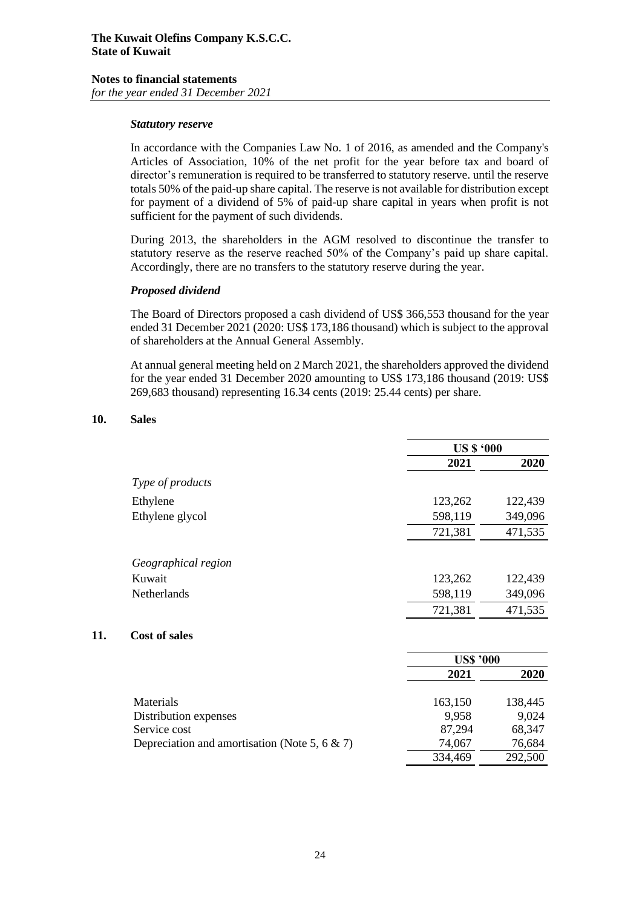#### *Statutory reserve*

In accordance with the Companies Law No. 1 of 2016, as amended and the Company's Articles of Association, 10% of the net profit for the year before tax and board of director's remuneration is required to be transferred to statutory reserve. until the reserve totals 50% of the paid-up share capital. The reserve is not available for distribution except for payment of a dividend of 5% of paid-up share capital in years when profit is not sufficient for the payment of such dividends.

During 2013, the shareholders in the AGM resolved to discontinue the transfer to statutory reserve as the reserve reached 50% of the Company's paid up share capital. Accordingly, there are no transfers to the statutory reserve during the year.

## *Proposed dividend*

The Board of Directors proposed a cash dividend of US\$ 366,553 thousand for the year ended 31 December 2021 (2020: US\$ 173,186 thousand) which is subject to the approval of shareholders at the Annual General Assembly.

At annual general meeting held on 2 March 2021, the shareholders approved the dividend for the year ended 31 December 2020 amounting to US\$ 173,186 thousand (2019: US\$ 269,683 thousand) representing 16.34 cents (2019: 25.44 cents) per share.

## **10. Sales**

|                     |         | <b>US \$ '000</b> |  |
|---------------------|---------|-------------------|--|
|                     | 2021    | 2020              |  |
| Type of products    |         |                   |  |
| Ethylene            | 123,262 | 122,439           |  |
| Ethylene glycol     | 598,119 | 349,096           |  |
|                     | 721,381 | 471,535           |  |
| Geographical region |         |                   |  |
| Kuwait              | 123,262 | 122,439           |  |
| Netherlands         | 598,119 | 349,096           |  |
|                     | 721,381 | 471,535           |  |

## **11. Cost of sales**

|                                                  | <b>US\$ '000</b> |             |  |
|--------------------------------------------------|------------------|-------------|--|
|                                                  | 2021             | <b>2020</b> |  |
| Materials                                        | 163,150          | 138,445     |  |
| Distribution expenses                            | 9.958            | 9,024       |  |
| Service cost                                     | 87,294           | 68,347      |  |
| Depreciation and amortisation (Note 5, 6 $\&$ 7) | 74,067           | 76,684      |  |
|                                                  | 334,469          | 292,500     |  |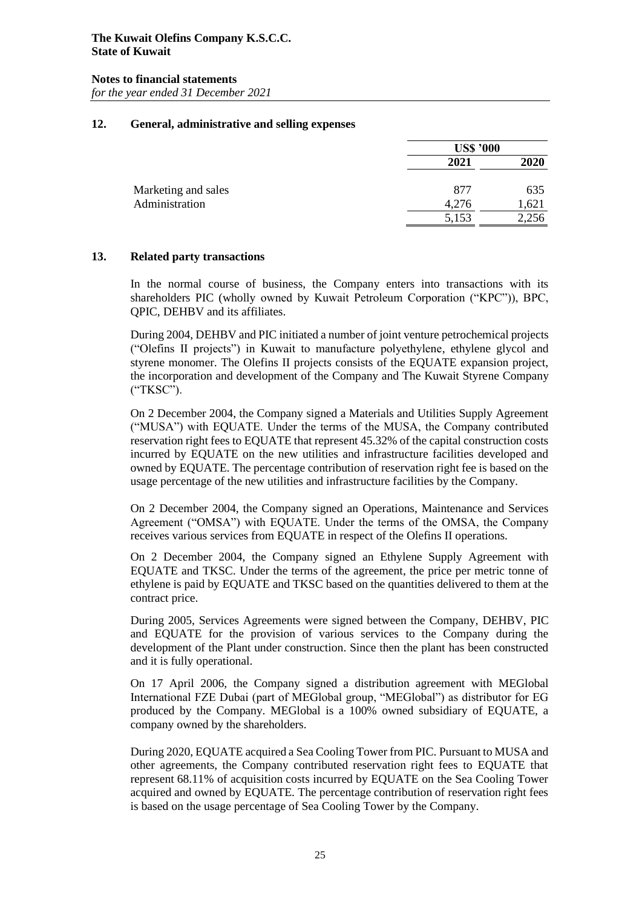## **12. General, administrative and selling expenses**

|                     |       | <b>US\$ '000</b> |  |  |
|---------------------|-------|------------------|--|--|
|                     | 2021  | 2020             |  |  |
| Marketing and sales | 877   | 635              |  |  |
| Administration      | 4,276 | 1,621            |  |  |
|                     | 5,153 | 2,256            |  |  |

## **13. Related party transactions**

In the normal course of business, the Company enters into transactions with its shareholders PIC (wholly owned by Kuwait Petroleum Corporation ("KPC")), BPC, QPIC, DEHBV and its affiliates.

During 2004, DEHBV and PIC initiated a number of joint venture petrochemical projects ("Olefins II projects") in Kuwait to manufacture polyethylene, ethylene glycol and styrene monomer. The Olefins II projects consists of the EQUATE expansion project, the incorporation and development of the Company and The Kuwait Styrene Company ("TKSC").

On 2 December 2004, the Company signed a Materials and Utilities Supply Agreement ("MUSA") with EQUATE. Under the terms of the MUSA, the Company contributed reservation right fees to EQUATE that represent 45.32% of the capital construction costs incurred by EQUATE on the new utilities and infrastructure facilities developed and owned by EQUATE. The percentage contribution of reservation right fee is based on the usage percentage of the new utilities and infrastructure facilities by the Company.

On 2 December 2004, the Company signed an Operations, Maintenance and Services Agreement ("OMSA") with EQUATE. Under the terms of the OMSA, the Company receives various services from EQUATE in respect of the Olefins II operations.

On 2 December 2004, the Company signed an Ethylene Supply Agreement with EQUATE and TKSC. Under the terms of the agreement, the price per metric tonne of ethylene is paid by EQUATE and TKSC based on the quantities delivered to them at the contract price.

During 2005, Services Agreements were signed between the Company, DEHBV, PIC and EQUATE for the provision of various services to the Company during the development of the Plant under construction. Since then the plant has been constructed and it is fully operational.

On 17 April 2006, the Company signed a distribution agreement with MEGlobal International FZE Dubai (part of MEGlobal group, "MEGlobal") as distributor for EG produced by the Company. MEGlobal is a 100% owned subsidiary of EQUATE, a company owned by the shareholders.

During 2020, EQUATE acquired a Sea Cooling Tower from PIC. Pursuant to MUSA and other agreements, the Company contributed reservation right fees to EQUATE that represent 68.11% of acquisition costs incurred by EQUATE on the Sea Cooling Tower acquired and owned by EQUATE. The percentage contribution of reservation right fees is based on the usage percentage of Sea Cooling Tower by the Company.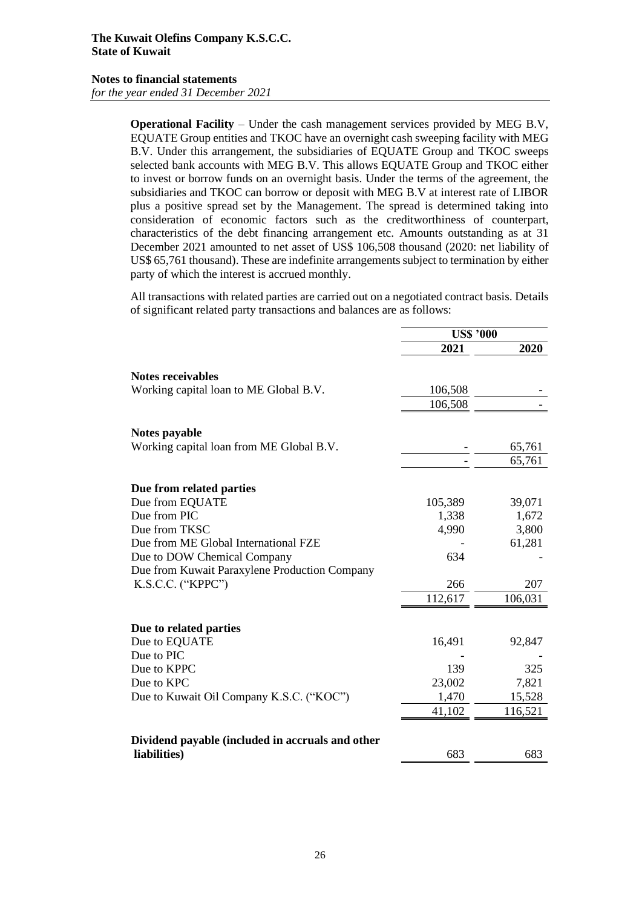*for the year ended 31 December 2021*

**Operational Facility** – Under the cash management services provided by MEG B.V, EQUATE Group entities and TKOC have an overnight cash sweeping facility with MEG B.V. Under this arrangement, the subsidiaries of EQUATE Group and TKOC sweeps selected bank accounts with MEG B.V. This allows EQUATE Group and TKOC either to invest or borrow funds on an overnight basis. Under the terms of the agreement, the subsidiaries and TKOC can borrow or deposit with MEG B.V at interest rate of LIBOR plus a positive spread set by the Management. The spread is determined taking into consideration of economic factors such as the creditworthiness of counterpart, characteristics of the debt financing arrangement etc. Amounts outstanding as at 31 December 2021 amounted to net asset of US\$ 106,508 thousand (2020: net liability of US\$ 65,761 thousand). These are indefinite arrangements subject to termination by either party of which the interest is accrued monthly.

All transactions with related parties are carried out on a negotiated contract basis. Details of significant related party transactions and balances are as follows:

|                                                                  | <b>US\$</b> '000 |         |  |
|------------------------------------------------------------------|------------------|---------|--|
|                                                                  | 2021             | 2020    |  |
| <b>Notes receivables</b>                                         |                  |         |  |
| Working capital loan to ME Global B.V.                           | 106,508          |         |  |
|                                                                  | 106,508          |         |  |
| Notes payable                                                    |                  |         |  |
| Working capital loan from ME Global B.V.                         |                  | 65,761  |  |
|                                                                  |                  | 65,761  |  |
|                                                                  |                  |         |  |
| Due from related parties<br>Due from EQUATE                      | 105,389          | 39,071  |  |
| Due from PIC                                                     | 1,338            | 1,672   |  |
| Due from TKSC                                                    | 4,990            | 3,800   |  |
| Due from ME Global International FZE                             |                  | 61,281  |  |
| Due to DOW Chemical Company                                      | 634              |         |  |
| Due from Kuwait Paraxylene Production Company                    |                  |         |  |
| K.S.C.C. ("KPPC")                                                | 266              | 207     |  |
|                                                                  | 112,617          | 106,031 |  |
|                                                                  |                  |         |  |
| Due to related parties<br>Due to EQUATE                          | 16,491           | 92,847  |  |
| Due to PIC                                                       |                  |         |  |
| Due to KPPC                                                      | 139              | 325     |  |
| Due to KPC                                                       | 23,002           | 7,821   |  |
| Due to Kuwait Oil Company K.S.C. ("KOC")                         | 1,470            | 15,528  |  |
|                                                                  | 41,102           | 116,521 |  |
|                                                                  |                  |         |  |
| Dividend payable (included in accruals and other<br>liabilities) | 683              | 683     |  |
|                                                                  |                  |         |  |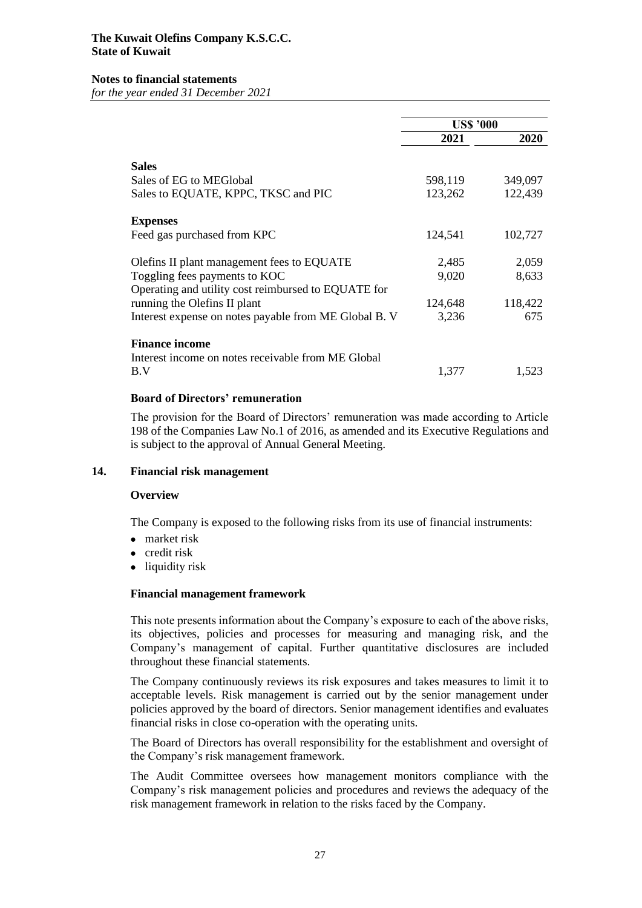## **Notes to financial statements**

*for the year ended 31 December 2021*

|                                                       |         | <b>US\$ '000</b> |  |
|-------------------------------------------------------|---------|------------------|--|
|                                                       | 2021    | 2020             |  |
|                                                       |         |                  |  |
| <b>Sales</b>                                          |         |                  |  |
| Sales of EG to MEGlobal                               | 598,119 | 349,097          |  |
| Sales to EQUATE, KPPC, TKSC and PIC                   | 123,262 | 122,439          |  |
| <b>Expenses</b>                                       |         |                  |  |
|                                                       |         |                  |  |
| Feed gas purchased from KPC                           | 124,541 | 102,727          |  |
| Olefins II plant management fees to EQUATE            | 2,485   | 2,059            |  |
| Toggling fees payments to KOC                         | 9,020   | 8,633            |  |
| Operating and utility cost reimbursed to EQUATE for   |         |                  |  |
| running the Olefins II plant                          | 124,648 | 118,422          |  |
| Interest expense on notes payable from ME Global B. V | 3,236   | 675              |  |
|                                                       |         |                  |  |
| <b>Finance income</b>                                 |         |                  |  |
| Interest income on notes receivable from ME Global    |         |                  |  |
| B.V                                                   | 1.377   | 1.523            |  |

## **Board of Directors' remuneration**

The provision for the Board of Directors' remuneration was made according to Article 198 of the Companies Law No.1 of 2016, as amended and its Executive Regulations and is subject to the approval of Annual General Meeting.

## **14. Financial risk management**

## **Overview**

The Company is exposed to the following risks from its use of financial instruments:

- market risk
- credit risk
- liquidity risk

## **Financial management framework**

This note presents information about the Company's exposure to each of the above risks, its objectives, policies and processes for measuring and managing risk, and the Company's management of capital. Further quantitative disclosures are included throughout these financial statements.

The Company continuously reviews its risk exposures and takes measures to limit it to acceptable levels. Risk management is carried out by the senior management under policies approved by the board of directors. Senior management identifies and evaluates financial risks in close co-operation with the operating units.

The Board of Directors has overall responsibility for the establishment and oversight of the Company's risk management framework.

The Audit Committee oversees how management monitors compliance with the Company's risk management policies and procedures and reviews the adequacy of the risk management framework in relation to the risks faced by the Company.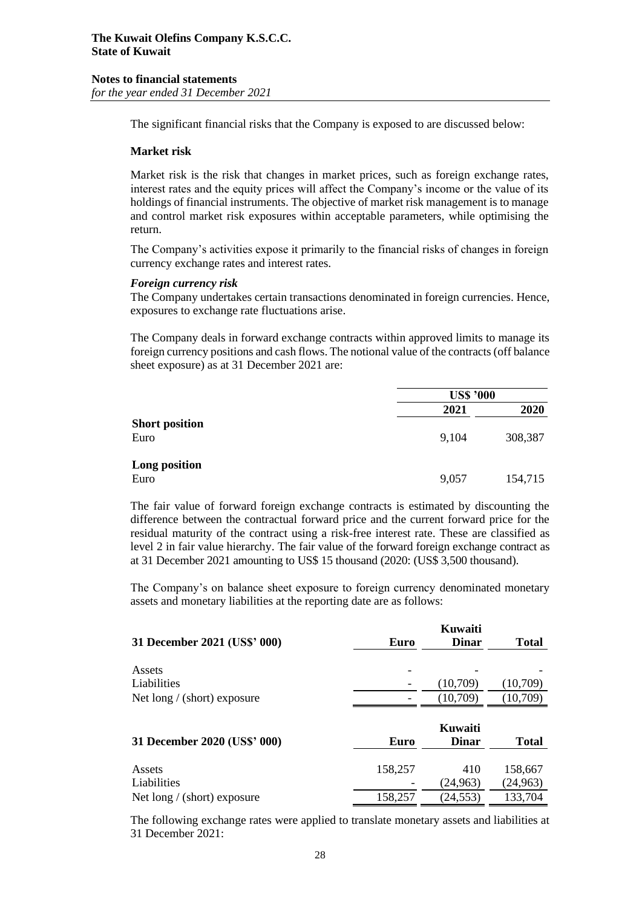The significant financial risks that the Company is exposed to are discussed below:

## **Market risk**

Market risk is the risk that changes in market prices, such as foreign exchange rates, interest rates and the equity prices will affect the Company's income or the value of its holdings of financial instruments. The objective of market risk management is to manage and control market risk exposures within acceptable parameters, while optimising the return.

The Company's activities expose it primarily to the financial risks of changes in foreign currency exchange rates and interest rates.

#### *Foreign currency risk*

The Company undertakes certain transactions denominated in foreign currencies. Hence, exposures to exchange rate fluctuations arise.

The Company deals in forward exchange contracts within approved limits to manage its foreign currency positions and cash flows. The notional value of the contracts (off balance sheet exposure) as at 31 December 2021 are:

|                               | <b>US\$ '000</b> |         |  |
|-------------------------------|------------------|---------|--|
|                               | 2021             | 2020    |  |
| <b>Short position</b><br>Euro | 9,104            | 308,387 |  |
| Long position<br>Euro         | 9,057            | 154,715 |  |

The fair value of forward foreign exchange contracts is estimated by discounting the difference between the contractual forward price and the current forward price for the residual maturity of the contract using a risk-free interest rate. These are classified as level 2 in fair value hierarchy. The fair value of the forward foreign exchange contract as at 31 December 2021 amounting to US\$ 15 thousand (2020: (US\$ 3,500 thousand).

The Company's on balance sheet exposure to foreign currency denominated monetary assets and monetary liabilities at the reporting date are as follows:

| 31 December 2021 (US\$' 000)  | Euro        | Kuwaiti<br><b>Dinar</b> | <b>Total</b> |
|-------------------------------|-------------|-------------------------|--------------|
|                               |             |                         |              |
| Assets                        |             |                         |              |
| Liabilities                   |             | (10,709)                | (10,709)     |
| Net $\log /$ (short) exposure |             | (10,709)                | (10,709)     |
|                               |             |                         |              |
|                               |             | Kuwaiti                 |              |
| 31 December 2020 (US\$' 000)  | <b>Euro</b> | <b>Dinar</b>            | <b>Total</b> |
|                               |             |                         |              |
| Assets                        | 158,257     | 410                     | 158,667      |
| Liabilities                   |             | (24, 963)               | (24, 963)    |
| Net $\log /$ (short) exposure | 158,257     | (24, 553)               | 133,704      |

The following exchange rates were applied to translate monetary assets and liabilities at 31 December 2021: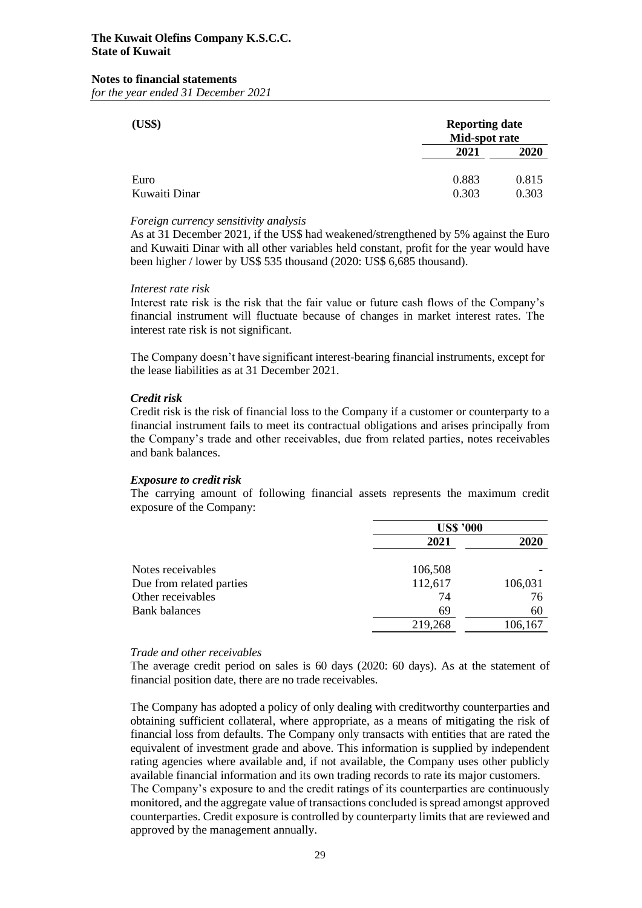*for the year ended 31 December 2021*

| 2021           | <b>2020</b>                            |
|----------------|----------------------------------------|
| 0.883<br>0.303 | 0.815<br>0.303                         |
|                | <b>Reporting date</b><br>Mid-spot rate |

#### *Foreign currency sensitivity analysis*

As at 31 December 2021, if the US\$ had weakened/strengthened by 5% against the Euro and Kuwaiti Dinar with all other variables held constant, profit for the year would have been higher / lower by US\$ 535 thousand (2020: US\$ 6,685 thousand).

#### *Interest rate risk*

Interest rate risk is the risk that the fair value or future cash flows of the Company's financial instrument will fluctuate because of changes in market interest rates. The interest rate risk is not significant.

The Company doesn't have significant interest-bearing financial instruments, except for the lease liabilities as at 31 December 2021.

## *Credit risk*

Credit risk is the risk of financial loss to the Company if a customer or counterparty to a financial instrument fails to meet its contractual obligations and arises principally from the Company's trade and other receivables, due from related parties, notes receivables and bank balances.

## *Exposure to credit risk*

The carrying amount of following financial assets represents the maximum credit exposure of the Company:

|                          | <b>US\$ '000</b> |         |  |
|--------------------------|------------------|---------|--|
|                          | 2021             | 2020    |  |
| Notes receivables        | 106,508          |         |  |
| Due from related parties | 112,617          | 106,031 |  |
| Other receivables        | 74               | 76      |  |
| <b>Bank</b> balances     | 69               | 60      |  |
|                          | 219,268          | 106,167 |  |

## *Trade and other receivables*

The average credit period on sales is 60 days (2020: 60 days). As at the statement of financial position date, there are no trade receivables.

The Company has adopted a policy of only dealing with creditworthy counterparties and obtaining sufficient collateral, where appropriate, as a means of mitigating the risk of financial loss from defaults. The Company only transacts with entities that are rated the equivalent of investment grade and above. This information is supplied by independent rating agencies where available and, if not available, the Company uses other publicly available financial information and its own trading records to rate its major customers. The Company's exposure to and the credit ratings of its counterparties are continuously monitored, and the aggregate value of transactions concluded is spread amongst approved counterparties. Credit exposure is controlled by counterparty limits that are reviewed and approved by the management annually.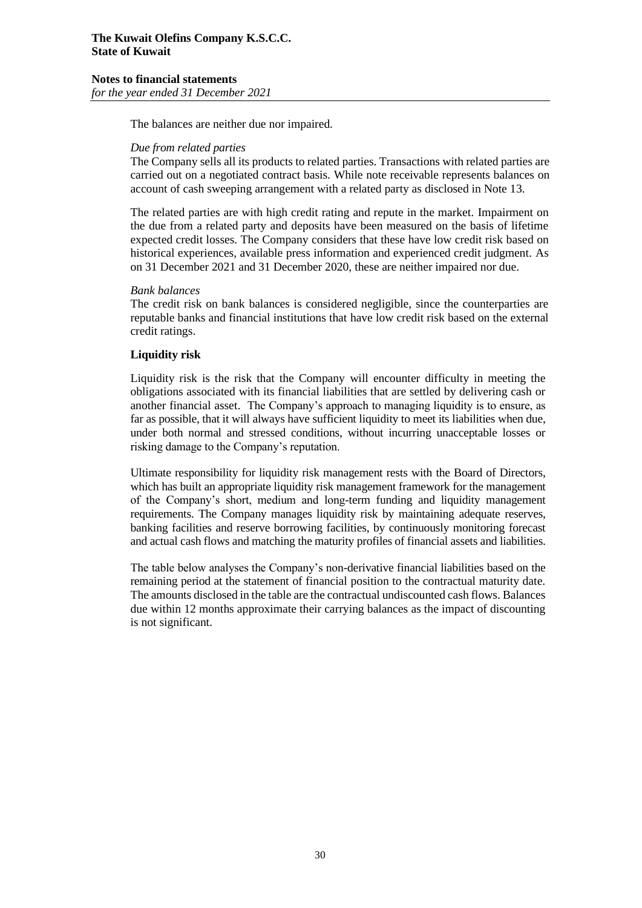#### **Notes to financial statements**  *for the year ended 31 December 2021*

The balances are neither due nor impaired.

## *Due from related parties*

The Company sells all its products to related parties. Transactions with related parties are carried out on a negotiated contract basis. While note receivable represents balances on account of cash sweeping arrangement with a related party as disclosed in Note 13.

The related parties are with high credit rating and repute in the market. Impairment on the due from a related party and deposits have been measured on the basis of lifetime expected credit losses. The Company considers that these have low credit risk based on historical experiences, available press information and experienced credit judgment. As on 31 December 2021 and 31 December 2020, these are neither impaired nor due.

## *Bank balances*

The credit risk on bank balances is considered negligible, since the counterparties are reputable banks and financial institutions that have low credit risk based on the external credit ratings.

## **Liquidity risk**

Liquidity risk is the risk that the Company will encounter difficulty in meeting the obligations associated with its financial liabilities that are settled by delivering cash or another financial asset. The Company's approach to managing liquidity is to ensure, as far as possible, that it will always have sufficient liquidity to meet its liabilities when due, under both normal and stressed conditions, without incurring unacceptable losses or risking damage to the Company's reputation.

Ultimate responsibility for liquidity risk management rests with the Board of Directors, which has built an appropriate liquidity risk management framework for the management of the Company's short, medium and long-term funding and liquidity management requirements. The Company manages liquidity risk by maintaining adequate reserves, banking facilities and reserve borrowing facilities, by continuously monitoring forecast and actual cash flows and matching the maturity profiles of financial assets and liabilities.

The table below analyses the Company's non-derivative financial liabilities based on the remaining period at the statement of financial position to the contractual maturity date. The amounts disclosed in the table are the contractual undiscounted cash flows. Balances due within 12 months approximate their carrying balances as the impact of discounting is not significant.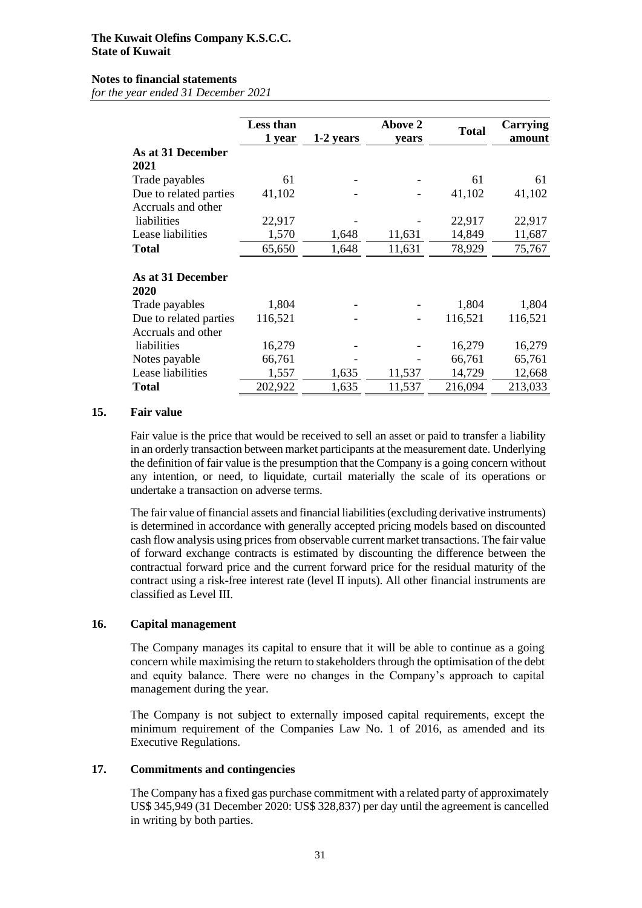## **Notes to financial statements**

*for the year ended 31 December 2021*

|                        | <b>Less than</b><br>1 year | 1-2 years | <b>Above 2</b><br>years | <b>Total</b> | Carrying<br>amount |
|------------------------|----------------------------|-----------|-------------------------|--------------|--------------------|
| As at 31 December      |                            |           |                         |              |                    |
| 2021                   |                            |           |                         |              |                    |
| Trade payables         | 61                         |           |                         | 61           | 61                 |
| Due to related parties | 41,102                     |           |                         | 41,102       | 41,102             |
| Accruals and other     |                            |           |                         |              |                    |
| liabilities            | 22,917                     |           |                         | 22,917       | 22,917             |
| Lease liabilities      | 1,570                      | 1,648     | 11,631                  | 14,849       | 11,687             |
| <b>Total</b>           | 65,650                     | 1,648     | 11,631                  | 78,929       | 75,767             |
| As at 31 December      |                            |           |                         |              |                    |
| 2020                   |                            |           |                         |              |                    |
| Trade payables         | 1,804                      |           |                         | 1,804        | 1,804              |
| Due to related parties | 116,521                    |           |                         | 116,521      | 116,521            |
| Accruals and other     |                            |           |                         |              |                    |
| liabilities            | 16,279                     |           |                         | 16,279       | 16,279             |
| Notes payable          | 66,761                     |           |                         | 66,761       | 65,761             |
| Lease liabilities      | 1,557                      | 1,635     | 11,537                  | 14,729       | 12,668             |
| <b>Total</b>           | 202,922                    | 1,635     | 11,537                  | 216,094      | 213,033            |

## **15. Fair value**

Fair value is the price that would be received to sell an asset or paid to transfer a liability in an orderly transaction between market participants at the measurement date. Underlying the definition of fair value is the presumption that the Company is a going concern without any intention, or need, to liquidate, curtail materially the scale of its operations or undertake a transaction on adverse terms.

The fair value of financial assets and financial liabilities (excluding derivative instruments) is determined in accordance with generally accepted pricing models based on discounted cash flow analysis using prices from observable current market transactions. The fair value of forward exchange contracts is estimated by discounting the difference between the contractual forward price and the current forward price for the residual maturity of the contract using a risk-free interest rate (level II inputs). All other financial instruments are classified as Level III.

## **16. Capital management**

The Company manages its capital to ensure that it will be able to continue as a going concern while maximising the return to stakeholders through the optimisation of the debt and equity balance. There were no changes in the Company's approach to capital management during the year.

The Company is not subject to externally imposed capital requirements, except the minimum requirement of the Companies Law No. 1 of 2016, as amended and its Executive Regulations.

## **17. Commitments and contingencies**

The Company has a fixed gas purchase commitment with a related party of approximately US\$ 345,949 (31 December 2020: US\$ 328,837) per day until the agreement is cancelled in writing by both parties.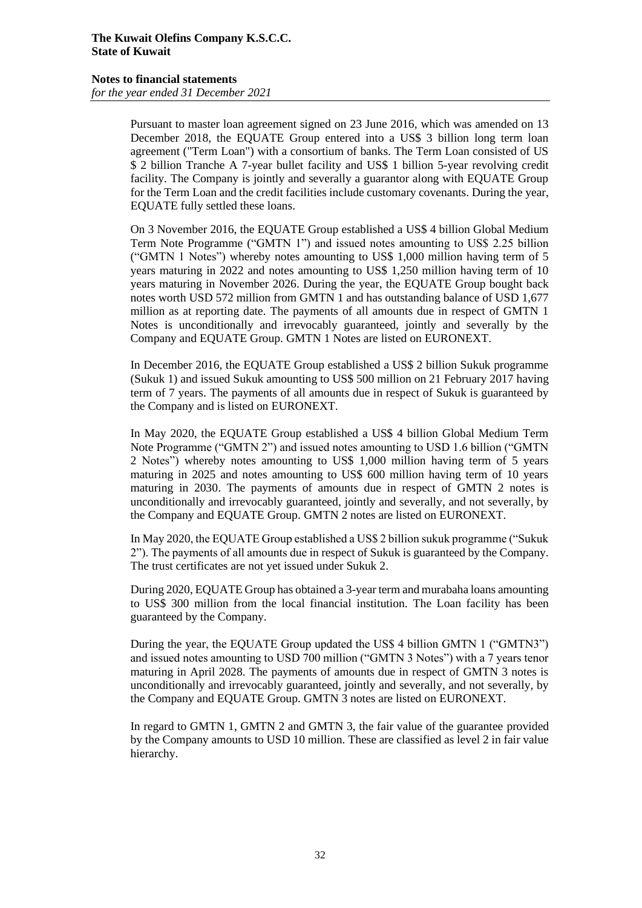Pursuant to master loan agreement signed on 23 June 2016, which was amended on 13 December 2018, the EQUATE Group entered into a US\$ 3 billion long term loan agreement ("Term Loan") with a consortium of banks. The Term Loan consisted of US \$ 2 billion Tranche A 7-year bullet facility and US\$ 1 billion 5-year revolving credit facility. The Company is jointly and severally a guarantor along with EQUATE Group for the Term Loan and the credit facilities include customary covenants. During the year, EQUATE fully settled these loans.

On 3 November 2016, the EQUATE Group established a US\$ 4 billion Global Medium Term Note Programme ("GMTN 1") and issued notes amounting to US\$ 2.25 billion ("GMTN 1 Notes") whereby notes amounting to US\$ 1,000 million having term of 5 years maturing in 2022 and notes amounting to US\$ 1,250 million having term of 10 years maturing in November 2026. During the year, the EQUATE Group bought back notes worth USD 572 million from GMTN 1 and has outstanding balance of USD 1,677 million as at reporting date. The payments of all amounts due in respect of GMTN 1 Notes is unconditionally and irrevocably guaranteed, jointly and severally by the Company and EQUATE Group. GMTN 1 Notes are listed on EURONEXT.

In December 2016, the EQUATE Group established a US\$ 2 billion Sukuk programme (Sukuk 1) and issued Sukuk amounting to US\$ 500 million on 21 February 2017 having term of 7 years. The payments of all amounts due in respect of Sukuk is guaranteed by the Company and is listed on EURONEXT.

In May 2020, the EQUATE Group established a US\$ 4 billion Global Medium Term Note Programme ("GMTN 2") and issued notes amounting to USD 1.6 billion ("GMTN 2 Notes") whereby notes amounting to US\$ 1,000 million having term of 5 years maturing in 2025 and notes amounting to US\$ 600 million having term of 10 years maturing in 2030. The payments of amounts due in respect of GMTN 2 notes is unconditionally and irrevocably guaranteed, jointly and severally, and not severally, by the Company and EQUATE Group. GMTN 2 notes are listed on EURONEXT.

In May 2020, the EQUATE Group established a US\$ 2 billion sukuk programme ("Sukuk 2"). The payments of all amounts due in respect of Sukuk is guaranteed by the Company. The trust certificates are not yet issued under Sukuk 2.

During 2020, EQUATE Group has obtained a 3-year term and murabaha loans amounting to US\$ 300 million from the local financial institution. The Loan facility has been guaranteed by the Company.

During the year, the EQUATE Group updated the US\$ 4 billion GMTN 1 ("GMTN3") and issued notes amounting to USD 700 million ("GMTN 3 Notes") with a 7 years tenor maturing in April 2028. The payments of amounts due in respect of GMTN 3 notes is unconditionally and irrevocably guaranteed, jointly and severally, and not severally, by the Company and EQUATE Group. GMTN 3 notes are listed on EURONEXT.

In regard to GMTN 1, GMTN 2 and GMTN 3, the fair value of the guarantee provided by the Company amounts to USD 10 million. These are classified as level 2 in fair value hierarchy.